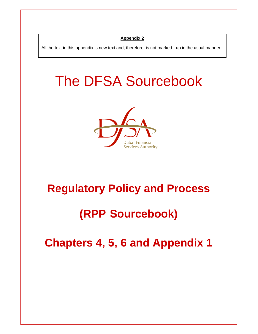#### **Appendix 2**

All the text in this appendix is new text and, therefore, is not marked - up in the usual manner.

# The DFSA Sourcebook



# **Regulatory Policy and Process**

# **(RPP Sourcebook)**

**Chapters 4, 5, 6 and Appendix 1**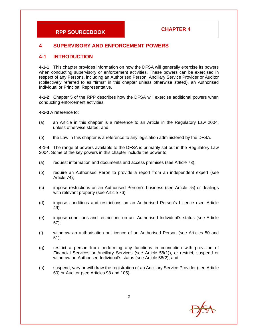#### **4 SUPERVISORY AND ENFORCEMENT POWERS**

#### **4-1 INTRODUCTION**

**4-1-1** This chapter provides information on how the DFSA will generally exercise its powers when conducting supervisory or enforcement activities. These powers can be exercised in respect of any Persons, including an Authorised Person, Ancillary Service Provider or Auditor (collectively referred to as "firms" in this chapter unless otherwise stated), an Authorised Individual or Principal Representative.

**4-1-2** Chapter 5 of the RPP describes how the DFSA will exercise additional powers when conducting enforcement activities.

**4-1-3** A reference to:

- (a) an Article in this chapter is a reference to an Article in the Regulatory Law 2004, unless otherwise stated; and
- (b) the Law in this chapter is a reference to any legislation administered by the DFSA.

**4-1-4** The range of powers available to the DFSA is primarily set out in the Regulatory Law 2004. Some of the key powers in this chapter include the power to:

- (a) request information and documents and access premises (see Article 73);
- (b) require an Authorised Peron to provide a report from an independent expert (see Article 74);
- (c) impose restrictions on an Authorised Person's business (see Article 75) or dealings with relevant property (see Article 76);
- (d) impose conditions and restrictions on an Authorised Person's Licence (see Article 49);
- (e) impose conditions and restrictions on an Authorised Individual's status (see Article 57);
- (f) withdraw an authorisation or Licence of an Authorised Person (see Articles 50 and 51);
- (g) restrict a person from performing any functions in connection with provision of Financial Services or Ancillary Services (see Article 58(1)), or restrict, suspend or withdraw an Authorised Individual's status (see Article 58(2); and
- (h) suspend, vary or withdraw the registration of an Ancillary Service Provider (see Article 60) or Auditor (see Articles 98 and 105).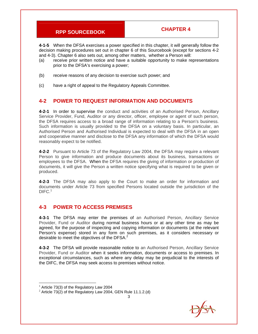**4-1-5** When the DFSA exercises a power specified in this chapter, it will generally follow the decision making procedures set out in chapter 6 of this Sourcebook (except for sections 4-2 and 4-3). Chapter 6 also sets out, among other matters, whether a Person will:

- (a) receive prior written notice and have a suitable opportunity to make representations prior to the DFSA's exercising a power;
- (b) receive reasons of any decision to exercise such power; and
- (c) have a right of appeal to the Regulatory Appeals Committee.

#### **4-2 POWER TO REQUEST INFORMATION AND DOCUMENTS**

**4-2-1** In order to supervise the conduct and activities of an Authorised Person, Ancillary Service Provider, Fund, Auditor or any director, officer, employee or agent of such person, the DFSA requires access to a broad range of information relating to a Person's business. Such information is usually provided to the DFSA on a voluntary basis. In particular, an Authorised Person and Authorised Individual is expected to deal with the DFSA in an open and cooperative manner and disclose to the DFSA any information of which the DFSA would reasonably expect to be notified.

**4-2-2** Pursuant to Article 73 of the Regulatory Law 2004, the DFSA may require a relevant Person to give information and produce documents about its business, transactions or employees to the DFSA. When the DFSA requires the giving of information or production of documents, it will give the Person a written notice specifying what is required to be given or produced.

**4-2-3** The DFSA may also apply to the Court to make an order for information and documents under Article 73 from specified Persons located outside the jurisdiction of the  $DIFC.<sup>1</sup>$ 

#### **4-3 POWER TO ACCESS PREMISES**

**4-3-1** The DFSA may enter the premises of an Authorised Person, Ancillary Service Provider, Fund or Auditor during normal business hours or at any other time as may be agreed, for the purpose of inspecting and copying information or documents (at the relevant Person's expense) stored in any form on such premises, as it considers necessary or desirable to meet the objectives of the DFSA.<sup>2</sup>

**4-3-2** The DFSA will provide reasonable notice to an Authorised Person, Ancillary Service Provider, Fund or Auditor when it seeks information, documents or access to premises. In exceptional circumstances, such as where any delay may be prejudicial to the interests of the DIFC, the DFSA may seek access to premises without notice.

 $1$  Article 73(3) of the Regulatory Law 2004

<sup>3</sup>   $2$  Article 73(2) of the Regulatory Law 2004, GEN Rule 11.1.2.(d)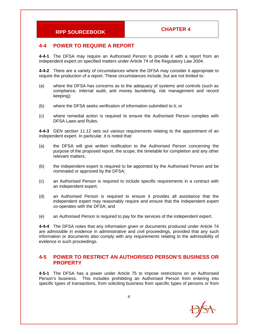#### **4-4 POWER TO REQUIRE A REPORT**

**4-4-1** The DFSA may require an Authorised Person to provide it with a report from an independent expert on specified matters under Article 74 of the Regulatory Law 2004.

**4-4-2** There are a variety of circumstances where the DFSA may consider it appropriate to require the production of a report. These circumstances include, but are not limited to:

- (a) where the DFSA has concerns as to the adequacy of systems and controls (such as compliance, internal audit, anti money laundering, risk management and record keeping);
- (b) where the DFSA seeks verification of information submitted to it; or
- (c) where remedial action is required to ensure the Authorised Person complies with DFSA Laws and Rules.

**4-4-3** GEN section 11.12 sets out various requirements relating to the appointment of an independent expert. In particular, it is noted that:

- (a) the DFSA will give written notification to the Authorised Person concerning the purpose of the proposed report, the scope, the timetable for completion and any other relevant matters;
- (b) the independent expert is required to be appointed by the Authorised Person and be nominated or approved by the DFSA;
- (c) an Authorised Person is required to include specific requirements in a contract with an independent expert;
- (d) an Authorised Person is required to ensure it provides all assistance that the independent expert may reasonably require and ensure that the independent expert co-operates with the DFSA; and
- (e) an Authorised Person is required to pay for the services of the independent expert.

**4-4-4** The DFSA notes that any information given or documents produced under Article 74 are admissible in evidence in administrative and civil proceedings, provided that any such information or documents also comply with any requirements relating to the admissibility of evidence in such proceedings.

#### **4-5 POWER TO RESTRICT AN AUTHORISED PERSON'S BUSINESS OR PROPERTY**

**4-5-1** The DFSA has a power under Article 75 to impose restrictions on an Authorised Person's business. This includes prohibiting an Authorised Person from entering into specific types of transactions, from soliciting business from specific types of persons or from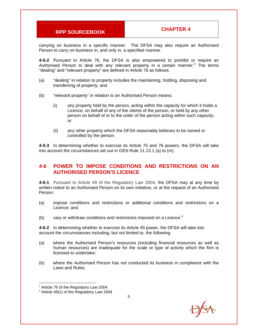carrying on business in a specific manner. The DFSA may also require an Authorised Person to carry on business in, and only in, a specified manner.

**4-5-2** Pursuant to Article 76, the DFSA is also empowered to prohibit or require an Authorised Person to deal with any relevant property in a certain manner.<sup>3</sup> The terms "dealing" and "relevant property" are defined in Article 76 as follows:

- (a) "dealing" in relation to property includes the maintaining, holding, disposing and transferring of property; and
- (b) "relevant property" in relation to an Authorised Person means:
	- (i) any property held by the person, acting within the capacity for which it holds a Licence, on behalf of any of the clients of the person, or held by any other person on behalf of or to the order of the person acting within such capacity; or
	- (ii) any other property which the DFSA reasonably believes to be owned or controlled by the person.

**4-5-3** In determining whether to exercise its Article 75 and 76 powers, the DFSA will take into account the circumstances set out in GEN Rule 11.13.1 (a) to (m).

#### **4-6 POWER TO IMPOSE CONDITIONS AND RESTRICTIONS ON AN AUTHORISED PERSON'S LICENCE**

**4-6-1** Pursuant to Article 49 of the Regulatory Law 2004, the DFSA may at any time by written notice to an Authorised Person on its own initiative, or at the request of an Authorised Person:

- (a) impose conditions and restrictions or additional conditions and restrictions on a Licence; and
- (b) vary or withdraw conditions and restrictions imposed on a Licence. $4$

**4-6-2** In determining whether to exercise its Article 49 power, the DFSA will take into account the circumstances including, but not limited to, the following:

- (a) where the Authorised Person's resources (including financial resources as well as human resources) are inadequate for the scale or type of activity which the firm is licensed to undertake;
- (b) where the Authorised Person has not conducted its business in compliance with the Laws and Rules;

 $3$  Article 76 of the Regulatory Law 2004

<sup>4</sup> Article 49(1) of the Regulatory Law 2004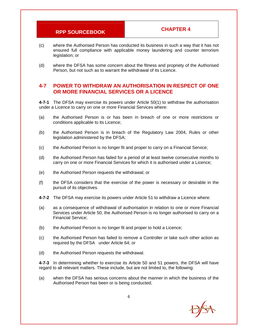- (c) where the Authorised Person has conducted its business in such a way that it has not ensured full compliance with applicable money laundering and counter terrorism legislation; or
- (d) where the DFSA has some concern about the fitness and propriety of the Authorised Person, but not such as to warrant the withdrawal of its Licence.

#### **4-7 POWER TO WITHDRAW AN AUTHORISATION IN RESPECT OF ONE OR MORE FINANCIAL SERVICES OR A LICENCE**

**4-7-1** The DFSA may exercise its powers under Article 50(1) to withdraw the authorisation under a Licence to carry on one or more Financial Services where:

- (a) the Authorised Person is or has been in breach of one or more restrictions or conditions applicable to its Licence;
- (b) the Authorised Person is in breach of the Regulatory Law 2004, Rules or other legislation administered by the DFSA;
- (c) the Authorised Person is no longer fit and proper to carry on a Financial Service;
- (d) the Authorised Person has failed for a period of at least twelve consecutive months to carry on one or more Financial Services for which it is authorised under a Licence;
- (e) the Authorised Person requests the withdrawal; or
- (f) the DFSA considers that the exercise of the power is necessary or desirable in the pursuit of its objectives.
- **4-7-2** The DFSA may exercise its powers under Article 51 to withdraw a Licence where:
- (a) as a consequence of withdrawal of authorisation in relation to one or more Financial Services under Article 50, the Authorised Person is no longer authorised to carry on a Financial Service;
- (b) the Authorised Person is no longer fit and proper to hold a Licence;
- (c) the Authorised Person has failed to remove a Controller or take such other action as required by the DFSA under Article 64; or
- (d) the Authorised Person requests the withdrawal.

**4-7-3** In determining whether to exercise its Article 50 and 51 powers, the DFSA will have regard to all relevant matters. These include, but are not limited to, the following:

(a) when the DFSA has serious concerns about the manner in which the business of the Authorised Person has been or is being conducted;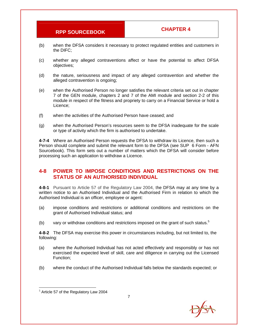- (b) when the DFSA considers it necessary to protect regulated entities and customers in the DIFC;
- (c) whether any alleged contraventions affect or have the potential to affect DFSA objectives;
- (d) the nature, seriousness and impact of any alleged contravention and whether the alleged contravention is ongoing;
- (e) when the Authorised Person no longer satisfies the relevant criteria set out in chapter 7 of the GEN module, chapters 2 and 7 of the AMI module and section 2-2 of this module in respect of the fitness and propriety to carry on a Financial Service or hold a Licence;
- (f) when the activities of the Authorised Person have ceased; and
- (g) when the Authorised Person's resources seem to the DFSA inadequate for the scale or type of activity which the firm is authorised to undertake.

**4-7-4** Where an Authorised Person requests the DFSA to withdraw its Licence, then such a Person should complete and submit the relevant form to the DFSA (see SUP 6 Form - AFN Sourcebook). This form sets out a number of matters which the DFSA will consider before processing such an application to withdraw a Licence.

#### **4-8 POWER TO IMPOSE CONDITIONS AND RESTRICTIONS ON THE STATUS OF AN AUTHORISED INDIVIDUAL**

**4-8-1** Pursuant to Article 57 of the Regulatory Law 2004, the DFSA may at any time by a written notice to an Authorised Individual and the Authorised Firm in relation to which the Authorised Individual is an officer, employee or agent:

- (a) impose conditions and restrictions or additional conditions and restrictions on the grant of Authorised Individual status; and
- (b) vary or withdraw conditions and restrictions imposed on the grant of such status. $5$

**4-8-2** The DFSA may exercise this power in circumstances including, but not limited to, the following:

- (a) where the Authorised Individual has not acted effectively and responsibly or has not exercised the expected level of skill, care and diligence in carrying out the Licensed Function;
- (b) where the conduct of the Authorised Individual falls below the standards expected; or

<sup>5</sup> Article 57 of the Regulatory Law 2004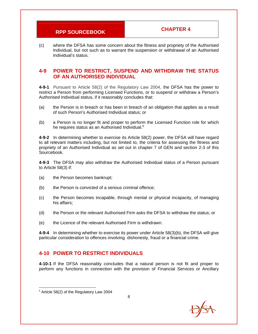(c) where the DFSA has some concern about the fitness and propriety of the Authorised Individual, but not such as to warrant the suspension or withdrawal of an Authorised Individual's status.

#### **4-9 POWER TO RESTRICT, SUSPEND AND WITHDRAW THE STATUS OF AN AUTHORISED INDIVIDUAL**

**4-9-1** Pursuant to Article 58(2) of the Regulatory Law 2004, the DFSA has the power to restrict a Person from performing Licensed Functions, or to suspend or withdraw a Person's Authorised Individual status, if it reasonably concludes that:

- (a) the Person is in breach or has been in breach of an obligation that applies as a result of such Person's Authorised Individual status; or
- (b) a Person is no longer fit and proper to perform the Licensed Function role for which he requires status as an Authorised Individual.<sup>6</sup>

**4-9-2** In determining whether to exercise its Article 58(2) power, the DFSA will have regard to all relevant matters including, but not limited to, the criteria for assessing the fitness and propriety of an Authorised Individual as set out in chapter 7 of GEN and section 2-3 of this Sourcebook.

**4-9-3** The DFSA may also withdraw the Authorised Individual status of a Person pursuant to Article 58(3) if:

- (a) the Person becomes bankrupt;
- (b) the Person is convicted of a serious criminal offence;
- (c) the Person becomes incapable, through mental or physical incapacity, of managing his affairs;
- (d) the Person or the relevant Authorised Firm asks the DFSA to withdraw the status; or
- (e) the Licence of the relevant Authorised Firm is withdrawn.

**4-9-4** In determining whether to exercise its power under Article 58(3)(b), the DFSA will give particular consideration to offences involving dishonesty, fraud or a financial crime.

#### **4-10 POWER TO RESTRICT INDIVIDUALS**

**4-10-1** If the DFSA reasonably concludes that a natural person is not fit and proper to perform any functions in connection with the provision of Financial Services or Ancillary

 $6$  Article 58(2) of the Regulatory Law 2004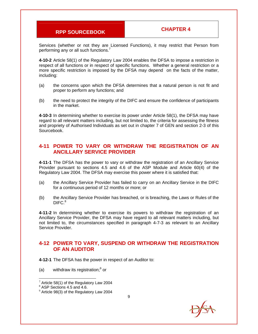Services (whether or not they are Licensed Functions), it may restrict that Person from performing any or all such functions. $<sup>7</sup>$ </sup>

**4-10-2** Article 58(1) of the Regulatory Law 2004 enables the DFSA to impose a restriction in respect of all functions or in respect of specific functions. Whether a general restriction or a more specific restriction is imposed by the DFSA may depend on the facts of the matter, including:

- (a) the concerns upon which the DFSA determines that a natural person is not fit and proper to perform any functions; and
- (b) the need to protect the integrity of the DIFC and ensure the confidence of participants in the market.

**4-10-3** In determining whether to exercise its power under Article 58(1), the DFSA may have regard to all relevant matters including, but not limited to, the criteria for assessing the fitness and propriety of Authorised Individuals as set out in chapter 7 of GEN and section 2-3 of this Sourcebook.

#### **4-11 POWER TO VARY OR WITHDRAW THE REGISTRATION OF AN ANCILLARY SERVICE PROVIDER**

**4-11-1** The DFSA has the power to vary or withdraw the registration of an Ancillary Service Provider pursuant to sections 4.5 and 4.6 of the ASP Module and Article 60(4) of the Regulatory Law 2004. The DFSA may exercise this power where it is satisfied that:

- (a) the Ancillary Service Provider has failed to carry on an Ancillary Service in the DIFC for a continuous period of 12 months or more; or
- (b) the Ancillary Service Provider has breached, or is breaching, the Laws or Rules of the DIFC.<sup>8</sup>

**4-11-2** In determining whether to exercise its powers to withdraw the registration of an Ancillary Service Provider, the DFSA may have regard to all relevant matters including, but not limited to, the circumstances specified in paragraph 4-7-3 as relevant to an Ancillary Service Provider.

#### **4-12 POWER TO VARY, SUSPEND OR WITHDRAW THE REGISTRATION OF AN AUDITOR**

**4-12-1** The DFSA has the power in respect of an Auditor to:

(a) withdraw its registration; $9$  or

 $7$  Article 58(1) of the Regulatory Law 2004

<sup>8</sup> ASP Sections 4.5 and 4.6.

 $9$  Article 98(3) of the Regulatory Law 2004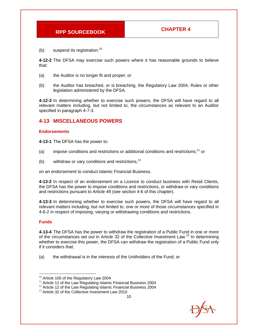(b) suspend its registration.<sup>10</sup>

**4-12-2** The DFSA may exercise such powers where it has reasonable grounds to believe that:

- (a) the Auditor is no longer fit and proper; or
- (b) the Auditor has breached, or is breaching, the Regulatory Law 2004, Rules or other legislation administered by the DFSA.

**4-12-3** In determining whether to exercise such powers, the DFSA will have regard to all relevant matters including, but not limited to, the circumstances as relevant to an Auditor specified in paragraph 4-7-3.

#### **4-13 MISCELLANEOUS POWERS**

#### **Endorsements**

**4-13-1** The DFSA has the power to:

- (a) impose conditions and restrictions or additional conditions and restrictions;<sup>11</sup> or
- (b) withdraw or vary conditions and restrictions,  $12$

on an endorsement to conduct Islamic Financial Business.

**4-13-2** In respect of an endorsement on a Licence to conduct business with Retail Clients, the DFSA has the power to impose conditions and restrictions, or withdraw or vary conditions and restrictions pursuant to Article 49 (see section 4-6 of this chapter).

**4-13-3** In determining whether to exercise such powers, the DFSA will have regard to all relevant matters including, but not limited to, one or more of those circumstances specified in 4-6-2 in respect of imposing, varying or withdrawing conditions and restrictions.

#### **Funds**

**4-13-4** The DFSA has the power to withdraw the registration of a Public Fund in one or more of the circumstances set out in Article 32 of the Collective Investment Law.<sup>13</sup> In determining whether to exercise this power, the DFSA can withdraw the registration of a Public Fund only if it considers that:

(a) the withdrawal is in the interests of the Unitholders of the Fund; or

<sup>&</sup>lt;sup>10</sup> Article 105 of the Regulatory Law 2004

 $11$  Article 12 of the Law Regulating Islamic Financial Business 2004

 $12$  Article 12 of the Law Regulating Islamic Financial Business 2004

 $13$  Article 32 of the Collective Investment Law 2010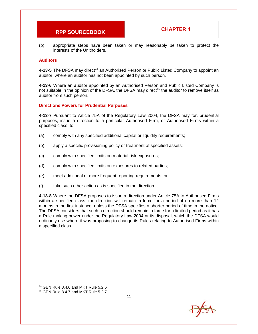(b) appropriate steps have been taken or may reasonably be taken to protect the interests of the Unitholders.

#### **Auditors**

**4-13-5** The DFSA may direct<sup>14</sup> an Authorised Person or Public Listed Company to appoint an auditor, where an auditor has not been appointed by such person.

**4-13-6** Where an auditor appointed by an Authorised Person and Public Listed Company is not suitable in the opinion of the DFSA, the DFSA may direct<sup>15</sup> the auditor to remove itself as auditor from such person.

#### **Directions Powers for Prudential Purposes**

**4-13-7** Pursuant to Article 75A of the Regulatory Law 2004, the DFSA may for, prudential purposes, issue a direction to a particular Authorised Firm, or Authorised Firms within a specified class, to:

- (a) comply with any specified additional capital or liquidity requirements;
- (b) apply a specific provisioning policy or treatment of specified assets;
- (c) comply with specified limits on material risk exposures;
- (d) comply with specified limits on exposures to related parties;
- (e) meet additional or more frequent reporting requirements; or
- (f) take such other action as is specified in the direction.

**4-13-8** Where the DFSA proposes to issue a direction under Article 75A to Authorised Firms within a specified class, the direction will remain in force for a period of no more than 12 months in the first instance, unless the DFSA specifies a shorter period of time in the notice. The DFSA considers that such a direction should remain in force for a limited period as it has a Rule making power under the Regulatory Law 2004 at its disposal, which the DFSA would ordinarily use where it was proposing to change its Rules relating to Authorised Firms within a specified class.

<sup>&</sup>lt;sup>14</sup> GEN Rule 8.4.6 and MKT Rule 5.2.6

 $15$  GEN Rule 8.4.7 and MKT Rule 5.2.7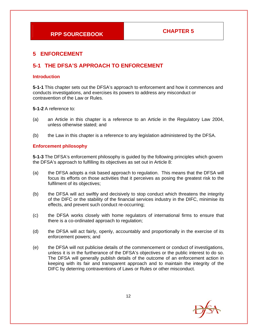### **5 ENFORCEMENT**

### **5-1 THE DFSA'S APPROACH TO ENFORCEMENT**

#### **Introduction**

**5-1-1** This chapter sets out the DFSA's approach to enforcement and how it commences and conducts investigations, and exercises its powers to address any misconduct or contravention of the Law or Rules.

**5-1-2** A reference to:

- (a) an Article in this chapter is a reference to an Article in the Regulatory Law 2004, unless otherwise stated; and
- (b) the Law in this chapter is a reference to any legislation administered by the DFSA.

#### **Enforcement philosophy**

**5-1-3** The DFSA's enforcement philosophy is guided by the following principles which govern the DFSA's approach to fulfilling its objectives as set out in Article 8:

- (a) the DFSA adopts a risk based approach to regulation. This means that the DFSA will focus its efforts on those activities that it perceives as posing the greatest risk to the fulfilment of its objectives;
- (b) the DFSA will act swiftly and decisively to stop conduct which threatens the integrity of the DIFC or the stability of the financial services industry in the DIFC, minimise its effects, and prevent such conduct re-occurring;
- (c) the DFSA works closely with home regulators of international firms to ensure that there is a co-ordinated approach to regulation;
- (d) the DFSA will act fairly, openly, accountably and proportionally in the exercise of its enforcement powers; and
- (e) the DFSA will not publicise details of the commencement or conduct of investigations, unless it is in the furtherance of the DFSA's objectives or the public interest to do so. The DFSA will generally publish details of the outcome of an enforcement action in keeping with its fair and transparent approach and to maintain the integrity of the DIFC by deterring contraventions of Laws or Rules or other misconduct.

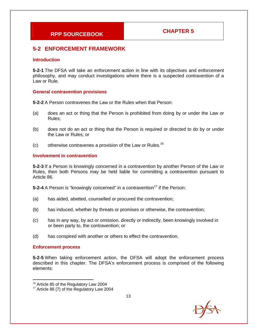### **5-2 ENFORCEMENT FRAMEWORK**

#### **Introduction**

**5-2-1** The DFSA will take an enforcement action in line with its objectives and enforcement philosophy, and may conduct investigations where there is a suspected contravention of a Law or Rule.

#### **General contravention provisions**

**5-2-2** A Person contravenes the Law or the Rules when that Person:

- (a) does an act or thing that the Person is prohibited from doing by or under the Law or Rules;
- (b) does not do an act or thing that the Person is required or directed to do by or under the Law or Rules; or
- (c) otherwise contravenes a provision of the Law or Rules.<sup>16</sup>

#### **Involvement in contravention**

**5-2-3** If a Person is knowingly concerned in a contravention by another Person of the Law or Rules, then both Persons may be held liable for committing a contravention pursuant to Article 86.

**5-2-4** A Person is "knowingly concerned" in a contravention<sup>17</sup> if the Person:

- (a) has aided, abetted, counselled or procured the contravention;
- (b) has induced, whether by threats or promises or otherwise, the contravention;
- (c) has in any way, by act or omission, directly or indirectly, been knowingly involved in or been party to, the contravention; or
- (d) has conspired with another or others to effect the contravention.

#### **Enforcement process**

**5-2-5** When taking enforcement action, the DFSA will adopt the enforcement process described in this chapter. The DFSA's enforcement process is comprised of the following elements:



<sup>&</sup>lt;sup>16</sup> Article 85 of the Regulatory Law 2004

 $17$  Article 86 (7) of the Regulatory Law 2004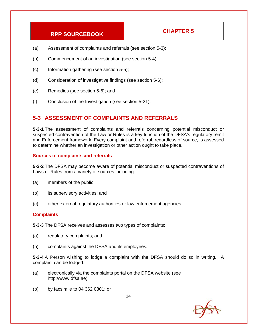- (a) Assessment of complaints and referrals (see section 5-3);
- (b) Commencement of an investigation (see section 5-4);
- (c) Information gathering (see section 5-5);
- (d) Consideration of investigative findings (see section 5-6);
- (e) Remedies (see section 5-6); and
- (f) Conclusion of the Investigation (see section 5-21).

#### **5-3 ASSESSMENT OF COMPLAINTS AND REFERRALS**

**5-3-1** The assessment of complaints and referrals concerning potential misconduct or suspected contravention of the Law or Rules is a key function of the DFSA's regulatory remit and Enforcement framework. Every complaint and referral, regardless of source, is assessed to determine whether an investigation or other action ought to take place.

#### **Sources of complaints and referrals**

**5-3-2** The DFSA may become aware of potential misconduct or suspected contraventions of Laws or Rules from a variety of sources including:

- (a) members of the public;
- (b) its supervisory activities; and
- (c) other external regulatory authorities or law enforcement agencies.

#### **Complaints**

**5-3-3** The DFSA receives and assesses two types of complaints:

- (a) regulatory complaints; and
- (b) complaints against the DFSA and its employees.

**5-3-4** A Person wishing to lodge a complaint with the DFSA should do so in writing. A complaint can be lodged:

- (a) electronically via the complaints portal on the DFSA website (see http://www.dfsa.ae);
- (b) by facsimile to 04 362 0801; or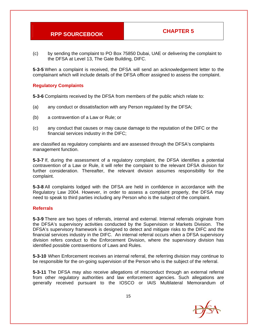(c) by sending the complaint to PO Box 75850 Dubai, UAE or delivering the complaint to the DFSA at Level 13, The Gate Building, DIFC.

**5-3-5** When a complaint is received, the DFSA will send an acknowledgement letter to the complainant which will include details of the DFSA officer assigned to assess the complaint.

#### **Regulatory Complaints**

**5-3-6** Complaints received by the DFSA from members of the public which relate to:

- (a) any conduct or dissatisfaction with any Person regulated by the DFSA;
- (b) a contravention of a Law or Rule; or
- (c) any conduct that causes or may cause damage to the reputation of the DIFC or the financial services industry in the DIFC;

are classified as regulatory complaints and are assessed through the DFSA's complaints management function.

**5-3-7** If, during the assessment of a regulatory complaint, the DFSA identifies a potential contravention of a Law or Rule, it will refer the complaint to the relevant DFSA division for further consideration. Thereafter, the relevant division assumes responsibility for the complaint.

**5-3-8** All complaints lodged with the DFSA are held in confidence in accordance with the Regulatory Law 2004. However, in order to assess a complaint properly, the DFSA may need to speak to third parties including any Person who is the subject of the complaint.

#### **Referrals**

**5-3-9** There are two types of referrals, internal and external. Internal referrals originate from the DFSA's supervisory activities conducted by the Supervision or Markets Division. The DFSA's supervisory framework is designed to detect and mitigate risks to the DIFC and the financial services industry in the DIFC. An internal referral occurs when a DFSA supervisory division refers conduct to the Enforcement Division, where the supervisory division has identified possible contraventions of Laws and Rules.

**5-3-10** When Enforcement receives an internal referral, the referring division may continue to be responsible for the on-going supervision of the Person who is the subject of the referral.

**5-3-11** The DFSA may also receive allegations of misconduct through an external referral from other regulatory authorities and law enforcement agencies. Such allegations are generally received pursuant to the IOSCO or IAIS Multilateral Memorandum of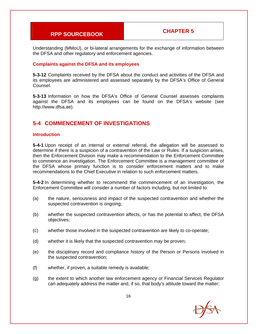Understanding (MMoU), or bi-lateral arrangements for the exchange of information between the DFSA and other regulatory and enforcement agencies.

#### **Complaints against the DFSA and its employees**

**5-3-12** Complaints received by the DFSA about the conduct and activities of the DFSA and its employees are administered and assessed separately by the DFSA's Office of General Counsel.

**5-3-13** Information on how the DFSA's Office of General Counsel assesses complaints against the DFSA and its employees can be found on the DFSA's website (see http://www.dfsa.ae).

### **5-4 COMMENCEMENT OF INVESTIGATIONS**

#### **Introduction**

**5-4-1** Upon receipt of an internal or external referral, the allegation will be assessed to determine if there is a suspicion of a contravention of the Law or Rules. If a suspicion arises, then the Enforcement Division may make a recommendation to the Enforcement Committee to commence an investigation. The Enforcement Committee is a management committee of the DFSA whose primary function is to consider enforcement matters and to make recommendations to the Chief Executive in relation to such enforcement matters.

**5-4-2** In determining whether to recommend the commencement of an investigation, the Enforcement Committee will consider a number of factors including, but not limited to:

- (a) the nature, seriousness and impact of the suspected contravention and whether the suspected contravention is ongoing;
- (b) whether the suspected contravention affects, or has the potential to affect, the DFSA objectives;
- (c) whether those involved in the suspected contravention are likely to co-operate;
- (d) whether it is likely that the suspected contravention may be proven;
- (e) the disciplinary record and compliance history of the Person or Persons involved in the suspected contravention;
- (f) whether, if proven, a suitable remedy is available;
- (g) the extent to which another law enforcement agency or Financial Services Regulator can adequately address the matter and, if so, that body's attitude toward the matter;

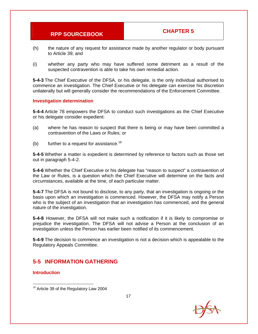- (h) the nature of any request for assistance made by another regulator or body pursuant to Article 39; and
- (i) whether any party who may have suffered some detriment as a result of the suspected contravention is able to take his own remedial action.

**5-4-3** The Chief Executive of the DFSA, or his delegate, is the only individual authorised to commence an investigation. The Chief Executive or his delegate can exercise his discretion unilaterally but will generally consider the recommendations of the Enforcement Committee.

#### **Investigation determination**

**5-4-4** Article 78 empowers the DFSA to conduct such investigations as the Chief Executive or his delegate consider expedient:

- (a) where he has reason to suspect that there is being or may have been committed a contravention of the Laws or Rules; or
- (b) further to a request for assistance.<sup>18</sup>

**5-4-5** Whether a matter is expedient is determined by reference to factors such as those set out in paragraph 5-4-2.

**5-4-6** Whether the Chief Executive or his delegate has "reason to suspect" a contravention of the Law or Rules, is a question which the Chief Executive will determine on the facts and circumstances, available at the time, of each particular matter.

**5-4-7** The DFSA is not bound to disclose, to any party, that an investigation is ongoing or the basis upon which an investigation is commenced. However, the DFSA may notify a Person who is the subject of an investigation that an investigation has commenced, and the general nature of the investigation.

**5-4-8** However, the DFSA will not make such a notification if it is likely to compromise or prejudice the investigation. The DFSA will not advise a Person at the conclusion of an investigation unless the Person has earlier been notified of its commencement.

**5-4-9** The decision to commence an investigation is not a decision which is appealable to the Regulatory Appeals Committee.

#### **5-5 INFORMATION GATHERING**

#### **Introduction**



 $18$  Article 39 of the Regulatory Law 2004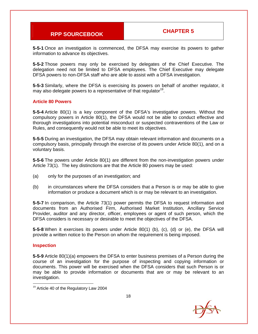**5-5-1** Once an investigation is commenced, the DFSA may exercise its powers to gather information to advance its objectives.

**5-5-2** Those powers may only be exercised by delegates of the Chief Executive. The delegation need not be limited to DFSA employees. The Chief Executive may delegate DFSA powers to non-DFSA staff who are able to assist with a DFSA investigation.

**5-5-3** Similarly, where the DFSA is exercising its powers on behalf of another regulator, it may also delegate powers to a representative of that regulator<sup>19</sup>.

#### **Article 80 Powers**

**5-5-4** Article 80(1) is a key component of the DFSA's investigative powers. Without the compulsory powers in Article 80(1), the DFSA would not be able to conduct effective and thorough investigations into potential misconduct or suspected contraventions of the Law or Rules, and consequently would not be able to meet its objectives.

**5-5-5** During an investigation, the DFSA may obtain relevant information and documents on a compulsory basis, principally through the exercise of its powers under Article 80(1), and on a voluntary basis.

**5-5-6** The powers under Article 80(1) are different from the non-investigation powers under Article 73(1). The key distinctions are that the Article 80 powers may be used:

- (a) only for the purposes of an investigation; and
- (b) in circumstances where the DFSA considers that a Person is or may be able to give information or produce a document which is or may be relevant to an investigation.

**5-5-7** In comparison, the Article 73(1) power permits the DFSA to request information and documents from an Authorised Firm, Authorised Market Institution, Ancillary Service Provider, auditor and any director, officer, employees or agent of such person, which the DFSA considers is necessary or desirable to meet the objectives of the DFSA.

**5-5-8** When it exercises its powers under Article 80(1) (b), (c), (d) or (e), the DFSA will provide a written notice to the Person on whom the requirement is being imposed.

#### **Inspection**

**5-5-9** Article 80(1)(a) empowers the DFSA to enter business premises of a Person during the course of an investigation for the purpose of inspecting and copying information or documents. This power will be exercised when the DFSA considers that such Person is or may be able to provide information or documents that are or may be relevant to an investigation.

<sup>&</sup>lt;sup>19</sup> Article 40 of the Regulatory Law 2004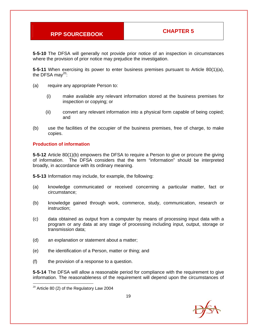**5-5-10** The DFSA will generally not provide prior notice of an inspection in circumstances where the provision of prior notice may prejudice the investigation.

**5-5-11** When exercising its power to enter business premises pursuant to Article 80(1)(a), the DFSA may $^{20}$ :

- (a) require any appropriate Person to:
	- (i) make available any relevant information stored at the business premises for inspection or copying; or
	- (ii) convert any relevant information into a physical form capable of being copied; and
- (b) use the facilities of the occupier of the business premises, free of charge, to make copies.

#### **Production of information**

**5-5-12** Article 80(1)(b) empowers the DFSA to require a Person to give or procure the giving of information. The DFSA considers that the term "information" should be interpreted broadly, in accordance with its ordinary meaning.

**5-5-13** Information may include, for example, the following:

- (a) knowledge communicated or received concerning a particular matter, fact or circumstance;
- (b) knowledge gained through work, commerce, study, communication, research or instruction;
- (c) data obtained as output from a computer by means of processing input data with a program or any data at any stage of processing including input, output, storage or transmission data;
- (d) an explanation or statement about a matter;
- (e) the identification of a Person, matter or thing; and
- (f) the provision of a response to a question.

**5-5-14** The DFSA will allow a reasonable period for compliance with the requirement to give information. The reasonableness of the requirement will depend upon the circumstances of

 $20$  Article 80 (2) of the Regulatory Law 2004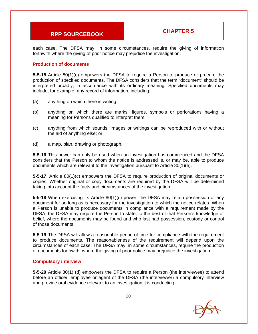each case. The DFSA may, in some circumstances, require the giving of information forthwith where the giving of prior notice may prejudice the investigation.

#### **Production of documents**

**5-5-15** Article 80(1)(c) empowers the DFSA to require a Person to produce or procure the production of specified documents. The DFSA considers that the term "document" should be interpreted broadly, in accordance with its ordinary meaning. Specified documents may include, for example, any record of information, including:

- (a) anything on which there is writing;
- (b) anything on which there are marks, figures, symbols or perforations having a meaning for Persons qualified to interpret them;
- (c) anything from which sounds, images or writings can be reproduced with or without the aid of anything else; or
- (d) a map, plan, drawing or photograph.

**5-5-16** This power can only be used when an investigation has commenced and the DFSA considers that the Person to whom the notice is addressed is, or may be, able to produce documents which are relevant to the investigation pursuant to Article 80(1)(e).

**5-5-17** Article 80(1)(c) empowers the DFSA to require production of original documents or copies. Whether original or copy documents are required by the DFSA will be determined taking into account the facts and circumstances of the investigation.

**5-5-18** When exercising its Article 80(1)(c) power, the DFSA may retain possession of any document for so long as is necessary for the investigation to which the notice relates. When a Person is unable to produce documents in compliance with a requirement made by the DFSA, the DFSA may require the Person to state, to the best of that Person's knowledge or belief, where the documents may be found and who last had possession, custody or control of those documents.

**5-5-19** The DFSA will allow a reasonable period of time for compliance with the requirement to produce documents. The reasonableness of the requirement will depend upon the circumstances of each case. The DFSA may, in some circumstances, require the production of documents forthwith, where the giving of prior notice may prejudice the investigation.

#### **Compulsory interview**

**5-5-20** Article 80(1) (d) empowers the DFSA to require a Person (the interviewee) to attend before an officer, employee or agent of the DFSA (the interviewer) a compulsory interview and provide oral evidence relevant to an investigation it is conducting.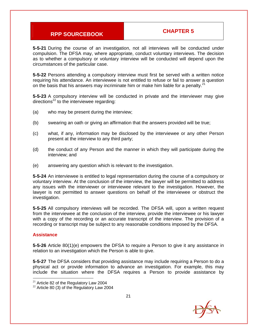**5-5-21** During the course of an investigation, not all interviews will be conducted under compulsion. The DFSA may, where appropriate, conduct voluntary interviews. The decision as to whether a compulsory or voluntary interview will be conducted will depend upon the circumstances of the particular case.

**5-5-22** Persons attending a compulsory interview must first be served with a written notice requiring his attendance. An interviewee is not entitled to refuse or fail to answer a question on the basis that his answers may incriminate him or make him liable for a penalty. $21$ 

**5-5-23** A compulsory interview will be conducted in private and the interviewer may give directions<sup>22</sup> to the interviewee regarding:

- (a) who may be present during the interview;
- (b) swearing an oath or giving an affirmation that the answers provided will be true;
- (c) what, if any, information may be disclosed by the interviewee or any other Person present at the interview to any third party;
- (d) the conduct of any Person and the manner in which they will participate during the interview; and
- (e) answering any question which is relevant to the investigation.

**5-5-24** An interviewee is entitled to legal representation during the course of a compulsory or voluntary interview. At the conclusion of the interview, the lawyer will be permitted to address any issues with the interviewer or interviewee relevant to the investigation. However, the lawyer is not permitted to answer questions on behalf of the interviewee or obstruct the investigation.

**5-5-25** All compulsory interviews will be recorded. The DFSA will, upon a written request from the interviewee at the conclusion of the interview, provide the interviewee or his lawyer with a copy of the recording or an accurate transcript of the interview. The provision of a recording or transcript may be subject to any reasonable conditions imposed by the DFSA.

#### **Assistance**

**5-5-26** Article 80(1)(e) empowers the DFSA to require a Person to give it any assistance in relation to an investigation which the Person is able to give.

**5-5-27** The DFSA considers that providing assistance may include requiring a Person to do a physical act or provide information to advance an investigation. For example, this may include the situation where the DFSA requires a Person to provide assistance by



<sup>&</sup>lt;sup>21</sup> Article 82 of the Regulatory Law 2004

 $22$  Article 80 (3) of the Regulatory Law 2004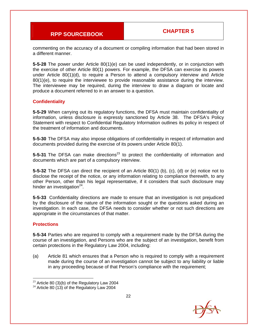commenting on the accuracy of a document or compiling information that had been stored in a different manner.

**5-5-28** The power under Article 80(1)(e) can be used independently, or in conjunction with the exercise of other Article 80(1) powers. For example, the DFSA can exercise its powers under Article 80(1)(d), to require a Person to attend a compulsory interview and Article 80(1)(e), to require the interviewee to provide reasonable assistance during the interview. The interviewee may be required, during the interview to draw a diagram or locate and produce a document referred to in an answer to a question.

#### **Confidentiality**

**5-5-29** When carrying out its regulatory functions, the DFSA must maintain confidentiality of information, unless disclosure is expressly sanctioned by Article 38. The DFSA's Policy Statement with respect to Confidential Regulatory Information outlines its policy in respect of the treatment of information and documents.

**5-5-30** The DFSA may also impose obligations of confidentiality in respect of information and documents provided during the exercise of its powers under Article 80(1).

**5-5-31** The DFSA can make directions<sup>23</sup> to protect the confidentiality of information and documents which are part of a compulsory interview.

**5-5-32** The DFSA can direct the recipient of an Article 80(1) (b), (c), (d) or (e) notice not to disclose the receipt of the notice, or any information relating to compliance therewith, to any other Person, other than his legal representative, if it considers that such disclosure may hinder an investigation $24$ .

**5-5-33** Confidentiality directions are made to ensure that an investigation is not prejudiced by the disclosure of the nature of the information sought or the questions asked during an investigation. In each case, the DFSA needs to consider whether or not such directions are appropriate in the circumstances of that matter.

#### **Protections**

**5-5-34** Parties who are required to comply with a requirement made by the DFSA during the course of an investigation, and Persons who are the subject of an investigation, benefit from certain protections in the Regulatory Law 2004, including:

(a) Article 81 which ensures that a Person who is required to comply with a requirement made during the course of an investigation cannot be subject to any liability or liable in any proceeding because of that Person's compliance with the requirement;



 $23$  Article 80 (3)(b) of the Regulatory Law 2004

 $24$  Article 80 (13) of the Regulatory Law 2004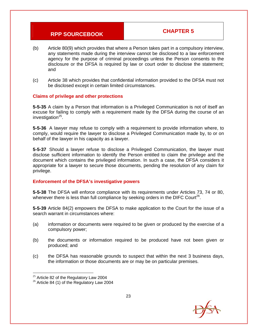- (b) Article 80(9) which provides that where a Person takes part in a compulsory interview, any statements made during the interview cannot be disclosed to a law enforcement agency for the purpose of criminal proceedings unless the Person consents to the disclosure or the DFSA is required by law or court order to disclose the statement; and
- (c) Article 38 which provides that confidential information provided to the DFSA must not be disclosed except in certain limited circumstances.

#### **Claims of privilege and other protections**

**5-5-35** A claim by a Person that information is a Privileged Communication is not of itself an excuse for failing to comply with a requirement made by the DFSA during the course of an investigation $^{25}$ .

**5-5-36** A lawyer may refuse to comply with a requirement to provide information where, to comply, would require the lawyer to disclose a Privileged Communication made by, to or on behalf of the lawyer in his capacity as a lawyer.

**5-5-37** Should a lawyer refuse to disclose a Privileged Communication, the lawyer must disclose sufficient information to identify the Person entitled to claim the privilege and the document which contains the privileged information. In such a case, the DFSA considers it appropriate for a lawyer to secure those documents, pending the resolution of any claim for privilege.

#### **Enforcement of the DFSA's investigative powers**

**5-5-38** The DFSA will enforce compliance with its requirements under Articles 73, 74 or 80, whenever there is less than full compliance by seeking orders in the DIFC Court<sup>26</sup>.

**5-5-39** Article 84(2) empowers the DFSA to make application to the Court for the issue of a search warrant in circumstances where:

- (a) information or documents were required to be given or produced by the exercise of a compulsory power;
- (b) the documents or information required to be produced have not been given or produced; and
- (c) the DFSA has reasonable grounds to suspect that within the next 3 business days, the information or those documents are or may be on particular premises.

 $25$  Article 82 of the Regulatory Law 2004

 $26$  Article 84 (1) of the Regulatory Law 2004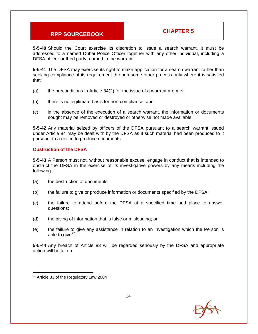**5-5-40** Should the Court exercise its discretion to issue a search warrant, it must be addressed to a named Dubai Police Officer together with any other individual, including a DFSA officer or third party, named in the warrant.

**5-5-41** The DFSA may exercise its right to make application for a search warrant rather than seeking compliance of its requirement through some other process only where it is satisfied that:

- (a) the preconditions in Article 84(2) for the issue of a warrant are met;
- (b) there is no legitimate basis for non-compliance; and
- (c) in the absence of the execution of a search warrant, the information or documents sought may be removed or destroyed or otherwise not made available.

**5-5-42** Any material seized by officers of the DFSA pursuant to a search warrant issued under Article 84 may be dealt with by the DFSA as if such material had been produced to it pursuant to a notice to produce documents.

#### **Obstruction of the DFSA**

**5-5-43** A Person must not, without reasonable excuse, engage in conduct that is intended to obstruct the DFSA in the exercise of its investigative powers by any means including the following:

- (a) the destruction of documents;
- (b) the failure to give or produce information or documents specified by the DFSA;
- (c) the failure to attend before the DFSA at a specified time and place to answer questions;
- (d) the giving of information that is false or misleading; or
- (e) the failure to give any assistance in relation to an investigation which the Person is able to give $27$ .

**5-5-44** Any breach of Article 83 will be regarded seriously by the DFSA and appropriate action will be taken.



  $27$  Article 83 of the Regulatory Law 2004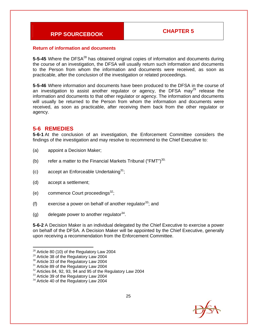#### **Return of information and documents**

**5-5-45** Where the DFSA<sup>28</sup> has obtained original copies of information and documents during the course of an investigation, the DFSA will usually return such information and documents to the Person from whom the information and documents were received, as soon as practicable, after the conclusion of the investigation or related proceedings.

**5-5-46** Where information and documents have been produced to the DFSA in the course of an investigation to assist another regulator or agency, the DFSA may<sup>29</sup> release the information and documents to that other regulator or agency. The information and documents will usually be returned to the Person from whom the information and documents were received, as soon as practicable, after receiving them back from the other regulator or agency.

#### **5-6 REMEDIES**

**5-6-1** At the conclusion of an investigation, the Enforcement Committee considers the findings of the investigation and may resolve to recommend to the Chief Executive to:

- (a) appoint a Decision Maker;
- (b) refer a matter to the Financial Markets Tribunal ("FMT") $30$ ;
- (c) accept an Enforceable Undertaking<sup>31</sup>;
- (d) accept a settlement;
- (e) commence Court proceedings $^{32}$ ;
- (f) exercise a power on behalf of another regulator  $33$ ; and
- (g) delegate power to another regulator  $34$ .

**5-6-2** A Decision Maker is an individual delegated by the Chief Executive to exercise a power on behalf of the DFSA. A Decision Maker will be appointed by the Chief Executive, generally upon receiving a recommendation from the Enforcement Committee.



 $28$  Article 80 (10) of the Regulatory Law 2004

<sup>&</sup>lt;sup>29</sup> Article 38 of the Regulatory Law 2004

<sup>&</sup>lt;sup>30</sup> Article 33 of the Regulatory Law 2004

<sup>&</sup>lt;sup>31</sup> Article 89 of the Regulatory Law 2004

 $32$  Articles 84, 92, 93, 94 and 95 of the Regulatory Law 2004

<sup>&</sup>lt;sup>33</sup> Article 39 of the Regulatory Law 2004

<sup>&</sup>lt;sup>34</sup> Article 40 of the Regulatory Law 2004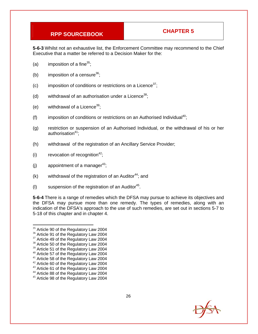**5-6-3** Whilst not an exhaustive list, the Enforcement Committee may recommend to the Chief Executive that a matter be referred to a Decision Maker for the:

- (a) imposition of a fine $35$ ;
- (b) imposition of a censure<sup>36</sup>;
- (c) imposition of conditions or restrictions on a Licence<sup>37</sup>;
- (d) withdrawal of an authorisation under a Licence<sup>38</sup>;
- (e) withdrawal of a Licence<sup>39</sup>;
- (f) imposition of conditions or restrictions on an Authorised Individual<sup>40</sup>;
- (g) restriction or suspension of an Authorised Individual, or the withdrawal of his or her authorisation $41$ ;
- (h) withdrawal of the registration of an Ancillary Service Provider;
- (i) revocation of recognition<sup>42</sup>;
- (i) appointment of a manager<sup>43</sup>;
- (k) withdrawal of the registration of an Auditor<sup>44</sup>; and
- (I) suspension of the registration of an Auditor<sup>45</sup>.

**5-6-4** There is a range of remedies which the DFSA may pursue to achieve its objectives and the DFSA may pursue more than one remedy. The types of remedies, along with an indication of the DFSA's approach to the use of such remedies, are set out in sections 5-7 to 5-18 of this chapter and in chapter 4.



 $35$  Article 90 of the Regulatory Law 2004

<sup>&</sup>lt;sup>36</sup> Article 91 of the Regulatory Law 2004

<sup>&</sup>lt;sup>37</sup> Article 49 of the Regulatory Law 2004

<sup>&</sup>lt;sup>38</sup> Article 50 of the Regulatory Law 2004

<sup>&</sup>lt;sup>39</sup> Article 51 of the Regulatory Law 2004

<sup>40</sup> Article 57 of the Regulatory Law 2004 <sup>41</sup> Article 58 of the Regulatory Law 2004

<sup>&</sup>lt;sup>42</sup> Article 60 of the Regulatory Law 2004

<sup>&</sup>lt;sup>43</sup> Article 61 of the Regulatory Law 2004

<sup>44</sup> Article 88 of the Regulatory Law 2004

<sup>45</sup> Article 98 of the Regulatory Law 2004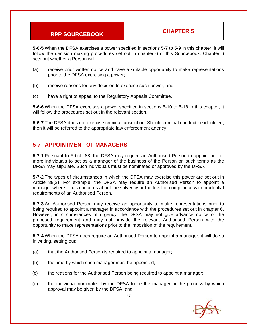**5-6-5** When the DFSA exercises a power specified in sections 5-7 to 5-9 in this chapter, it will follow the decision making procedures set out in chapter 6 of this Sourcebook. Chapter 6 sets out whether a Person will:

- (a) receive prior written notice and have a suitable opportunity to make representations prior to the DFSA exercising a power;
- (b) receive reasons for any decision to exercise such power; and
- (c) have a right of appeal to the Regulatory Appeals Committee.

**5-6-6** When the DFSA exercises a power specified in sections 5-10 to 5-18 in this chapter, it will follow the procedures set out in the relevant section.

**5-6-7** The DFSA does not exercise criminal jurisdiction. Should criminal conduct be identified, then it will be referred to the appropriate law enforcement agency.

#### **5-7 APPOINTMENT OF MANAGERS**

**5-7-1** Pursuant to Article 88, the DFSA may require an Authorised Person to appoint one or more individuals to act as a manager of the business of the Person on such terms as the DFSA may stipulate. Such individuals must be nominated or approved by the DFSA.

**5-7-2** The types of circumstances in which the DFSA may exercise this power are set out in Article 88(3). For example, the DFSA may require an Authorised Person to appoint a manager where it has concerns about the solvency or the level of compliance with prudential requirements of an Authorised Person.

**5-7-3** An Authorised Person may receive an opportunity to make representations prior to being required to appoint a manager in accordance with the procedures set out in chapter 6. However, in circumstances of urgency, the DFSA may not give advance notice of the proposed requirement and may not provide the relevant Authorised Person with the opportunity to make representations prior to the imposition of the requirement.

**5-7-4** When the DFSA does require an Authorised Person to appoint a manager, it will do so in writing, setting out:

- (a) that the Authorised Person is required to appoint a manager;
- (b) the time by which such manager must be appointed;
- (c) the reasons for the Authorised Person being required to appoint a manager;
- (d) the individual nominated by the DFSA to be the manager or the process by which approval may be given by the DFSA; and

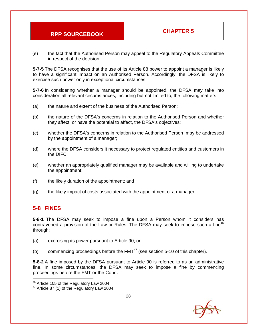(e) the fact that the Authorised Person may appeal to the Regulatory Appeals Committee in respect of the decision.

**5-7-5** The DFSA recognises that the use of its Article 88 power to appoint a manager is likely to have a significant impact on an Authorised Person. Accordingly, the DFSA is likely to exercise such power only in exceptional circumstances.

**5-7-6** In considering whether a manager should be appointed, the DFSA may take into consideration all relevant circumstances, including but not limited to, the following matters:

- (a) the nature and extent of the business of the Authorised Person;
- (b) the nature of the DFSA's concerns in relation to the Authorised Person and whether they affect, or have the potential to affect, the DFSA's objectives;
- (c) whether the DFSA's concerns in relation to the Authorised Person may be addressed by the appointment of a manager;
- (d) where the DFSA considers it necessary to protect regulated entities and customers in the DIFC;
- (e) whether an appropriately qualified manager may be available and willing to undertake the appointment;
- (f) the likely duration of the appointment; and
- (g) the likely impact of costs associated with the appointment of a manager.

#### **5-8 FINES**

**5-8-1** The DFSA may seek to impose a fine upon a Person whom it considers has contravened a provision of the Law or Rules. The DFSA may seek to impose such a fine<sup>46</sup> through:

- (a) exercising its power pursuant to Article 90; or
- (b) commencing proceedings before the  $FMT^{47}$  (see section 5-10 of this chapter).

**5-8-2** A fine imposed by the DFSA pursuant to Article 90 is referred to as an administrative fine. In some circumstances, the DFSA may seek to impose a fine by commencing proceedings before the FMT or the Court.



<sup>&</sup>lt;sup>46</sup> Article 105 of the Regulatory Law 2004

<sup>&</sup>lt;sup>47</sup> Article 87 (1) of the Regulatory Law 2004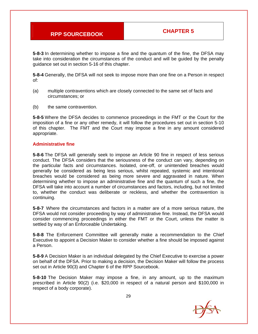**5-8-3** In determining whether to impose a fine and the quantum of the fine, the DFSA may take into consideration the circumstances of the conduct and will be guided by the penalty guidance set out in section 5-16 of this chapter.

**5-8-4** Generally, the DFSA will not seek to impose more than one fine on a Person in respect of:

- (a) multiple contraventions which are closely connected to the same set of facts and circumstances; or
- (b) the same contravention.

**5-8-5** Where the DFSA decides to commence proceedings in the FMT or the Court for the imposition of a fine or any other remedy, it will follow the procedures set out in section 5-10 of this chapter. The FMT and the Court may impose a fine in any amount considered appropriate.

#### **Administrative fine**

**5-8-6** The DFSA will generally seek to impose an Article 90 fine in respect of less serious conduct. The DFSA considers that the seriousness of the conduct can vary, depending on the particular facts and circumstances. Isolated, one-off, or unintended breaches would generally be considered as being less serious, whilst repeated, systemic and intentional breaches would be considered as being more severe and aggravated in nature. When determining whether to impose an administrative fine and the quantum of such a fine, the DFSA will take into account a number of circumstances and factors, including, but not limited to, whether the conduct was deliberate or reckless, and whether the contravention is continuing.

**5-8-7** Where the circumstances and factors in a matter are of a more serious nature, the DFSA would not consider proceeding by way of administrative fine. Instead, the DFSA would consider commencing proceedings in either the FMT or the Court, unless the matter is settled by way of an Enforceable Undertaking.

**5-8-8** The Enforcement Committee will generally make a recommendation to the Chief Executive to appoint a Decision Maker to consider whether a fine should be imposed against a Person.

**5-8-9** A Decision Maker is an individual delegated by the Chief Executive to exercise a power on behalf of the DFSA. Prior to making a decision, the Decision Maker will follow the process set out in Article 90(3) and Chapter 6 of the RPP Sourcebook.

**5-8-10** The Decision Maker may impose a fine, in any amount, up to the maximum prescribed in Article 90(2) (i.e. \$20,000 in respect of a natural person and \$100,000 in respect of a body corporate).

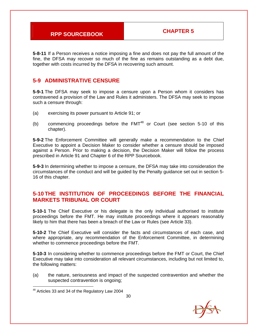**5-8-11** If a Person receives a notice imposing a fine and does not pay the full amount of the fine, the DFSA may recover so much of the fine as remains outstanding as a debt due, together with costs incurred by the DFSA in recovering such amount.

### **5-9 ADMINISTRATIVE CENSURE**

**5-9-1** The DFSA may seek to impose a censure upon a Person whom it considers has contravened a provision of the Law and Rules it administers. The DFSA may seek to impose such a censure through:

- (a) exercising its power pursuant to Article 91; or
- (b) commencing proceedings before the  $FMT^{48}$  or Court (see section 5-10 of this chapter).

**5-9-2** The Enforcement Committee will generally make a recommendation to the Chief Executive to appoint a Decision Maker to consider whether a censure should be imposed against a Person. Prior to making a decision, the Decision Maker will follow the process prescribed in Article 91 and Chapter 6 of the RPP Sourcebook.

**5-9-3** In determining whether to impose a censure, the DFSA may take into consideration the circumstances of the conduct and will be guided by the Penalty guidance set out in section 5- 16 of this chapter.

### **5-10 THE INSTITUTION OF PROCEEDINGS BEFORE THE FINANCIAL MARKETS TRIBUNAL OR COURT**

**5-10-1** The Chief Executive or his delegate is the only individual authorised to institute proceedings before the FMT. He may institute proceedings where it appears reasonably likely to him that there has been a breach of the Law or Rules (see Article 33).

**5-10-2** The Chief Executive will consider the facts and circumstances of each case, and where appropriate, any recommendation of the Enforcement Committee, in determining whether to commence proceedings before the FMT.

**5-10-3** In considering whether to commence proceedings before the FMT or Court, the Chief Executive may take into consideration all relevant circumstances, including but not limited to, the following matters:

(a) the nature, seriousness and impact of the suspected contravention and whether the suspected contravention is ongoing;

<sup>&</sup>lt;sup>48</sup> Articles 33 and 34 of the Regulatory Law 2004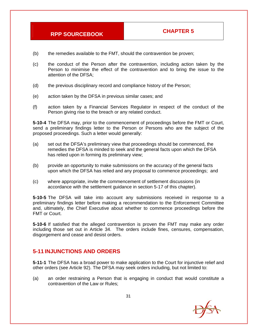- (b) the remedies available to the FMT, should the contravention be proven;
- (c) the conduct of the Person after the contravention, including action taken by the Person to minimise the effect of the contravention and to bring the issue to the attention of the DFSA;
- (d) the previous disciplinary record and compliance history of the Person;
- (e) action taken by the DFSA in previous similar cases; and
- (f) action taken by a Financial Services Regulator in respect of the conduct of the Person giving rise to the breach or any related conduct.

**5-10-4** The DFSA may, prior to the commencement of proceedings before the FMT or Court, send a preliminary findings letter to the Person or Persons who are the subject of the proposed proceedings. Such a letter would generally:

- (a) set out the DFSA's preliminary view that proceedings should be commenced, the remedies the DFSA is minded to seek and the general facts upon which the DFSA has relied upon in forming its preliminary view;
- (b) provide an opportunity to make submissions on the accuracy of the general facts upon which the DFSA has relied and any proposal to commence proceedings; and
- (c) where appropriate, invite the commencement of settlement discussions (in accordance with the settlement guidance in section 5-17 of this chapter).

**5-10-5** The DFSA will take into account any submissions received in response to a preliminary findings letter before making a recommendation to the Enforcement Committee and, ultimately, the Chief Executive about whether to commence proceedings before the FMT or Court.

**5-10-6** If satisfied that the alleged contravention is proven the FMT may make any order including those set out in Article 34. The orders include fines, censures, compensation, disgorgement and cease and desist orders.

#### **5-11 INJUNCTIONS AND ORDERS**

**5-11-1** The DFSA has a broad power to make application to the Court for injunctive relief and other orders (see Article 92). The DFSA may seek orders including, but not limited to:

(a) an order restraining a Person that is engaging in conduct that would constitute a contravention of the Law or Rules;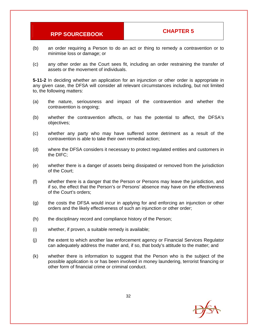- (b) an order requiring a Person to do an act or thing to remedy a contravention or to minimise loss or damage; or
- (c) any other order as the Court sees fit, including an order restraining the transfer of assets or the movement of individuals.

**5-11-2** In deciding whether an application for an injunction or other order is appropriate in any given case, the DFSA will consider all relevant circumstances including, but not limited to, the following matters:

- (a) the nature, seriousness and impact of the contravention and whether the contravention is ongoing;
- (b) whether the contravention affects, or has the potential to affect, the DFSA's objectives;
- (c) whether any party who may have suffered some detriment as a result of the contravention is able to take their own remedial action;
- (d) where the DFSA considers it necessary to protect regulated entities and customers in the DIFC;
- (e) whether there is a danger of assets being dissipated or removed from the jurisdiction of the Court;
- (f) whether there is a danger that the Person or Persons may leave the jurisdiction, and if so, the effect that the Person's or Persons' absence may have on the effectiveness of the Court's orders;
- (g) the costs the DFSA would incur in applying for and enforcing an injunction or other orders and the likely effectiveness of such an injunction or other order;
- (h) the disciplinary record and compliance history of the Person;
- (i) whether, if proven, a suitable remedy is available;
- (j) the extent to which another law enforcement agency or Financial Services Regulator can adequately address the matter and, if so, that body's attitude to the matter; and
- (k) whether there is information to suggest that the Person who is the subject of the possible application is or has been involved in money laundering, terrorist financing or other form of financial crime or criminal conduct.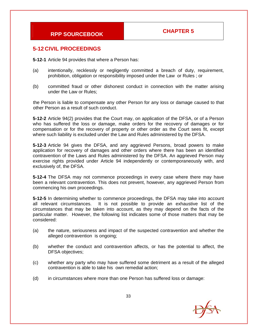### **5-12 CIVIL PROCEEDINGS**

**5-12-1** Article 94 provides that where a Person has:

- (a) intentionally, recklessly or negligently committed a breach of duty, requirement, prohibition, obligation or responsibility imposed under the Law or Rules ; or
- (b) committed fraud or other dishonest conduct in connection with the matter arising under the Law or Rules;

the Person is liable to compensate any other Person for any loss or damage caused to that other Person as a result of such conduct.

**5-12-2** Article 94(2) provides that the Court may, on application of the DFSA, or of a Person who has suffered the loss or damage, make orders for the recovery of damages or for compensation or for the recovery of property or other order as the Court sees fit, except where such liability is excluded under the Law and Rules administered by the DFSA.

**5-12-3** Article 94 gives the DFSA, and any aggrieved Persons, broad powers to make application for recovery of damages and other orders where there has been an identified contravention of the Laws and Rules administered by the DFSA. An aggrieved Person may exercise rights provided under Article 94 independently or contemporaneously with, and exclusively of, the DFSA.

**5-12-4** The DFSA may not commence proceedings in every case where there may have been a relevant contravention. This does not prevent, however, any aggrieved Person from commencing his own proceedings.

**5-12-5** In determining whether to commence proceedings, the DFSA may take into account all relevant circumstances. It is not possible to provide an exhaustive list of the circumstances that may be taken into account, as they may depend on the facts of the particular matter. However, the following list indicates some of those matters that may be considered:

- (a) the nature, seriousness and impact of the suspected contravention and whether the alleged contravention is ongoing;
- (b) whether the conduct and contravention affects, or has the potential to affect, the DFSA objectives;
- (c) whether any party who may have suffered some detriment as a result of the alleged contravention is able to take his own remedial action;
- (d) in circumstances where more than one Person has suffered loss or damage:

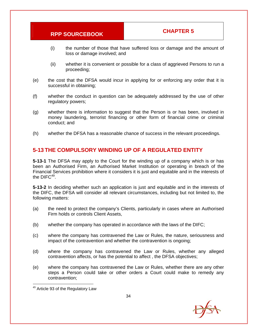- (i) the number of those that have suffered loss or damage and the amount of loss or damage involved; and
- (ii) whether it is convenient or possible for a class of aggrieved Persons to run a proceeding;
- (e) the cost that the DFSA would incur in applying for or enforcing any order that it is successful in obtaining;
- (f) whether the conduct in question can be adequately addressed by the use of other regulatory powers;
- (g) whether there is information to suggest that the Person is or has been, involved in money laundering, terrorist financing or other form of financial crime or criminal conduct; and
- (h) whether the DFSA has a reasonable chance of success in the relevant proceedings.

#### **5-13 THE COMPULSORY WINDING UP OF A REGULATED ENTITY**

**5-13-1** The DFSA may apply to the Court for the winding up of a company which is or has been an Authorised Firm, an Authorised Market Institution or operating in breach of the Financial Services prohibition where it considers it is just and equitable and in the interests of the  $DIFC<sup>49</sup>$ .

**5-13-2** In deciding whether such an application is just and equitable and in the interests of the DIFC, the DFSA will consider all relevant circumstances, including but not limited to, the following matters:

- (a) the need to protect the company's Clients, particularly in cases where an Authorised Firm holds or controls Client Assets,
- (b) whether the company has operated in accordance with the laws of the DIFC;
- (c) where the company has contravened the Law or Rules, the nature, seriousness and impact of the contravention and whether the contravention is ongoing;
- (d) where the company has contravened the Law or Rules, whether any alleged contravention affects, or has the potential to affect , the DFSA objectives;
- (e) where the company has contravened the Law or Rules, whether there are any other steps a Person could take or other orders a Court could make to remedy any contravention;



 <sup>49</sup> Article 93 of the Regulatory Law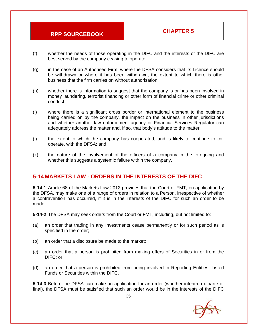- (f) whether the needs of those operating in the DIFC and the interests of the DIFC are best served by the company ceasing to operate;
- (g) in the case of an Authorised Firm, where the DFSA considers that its Licence should be withdrawn or where it has been withdrawn, the extent to which there is other business that the firm carries on without authorisation;
- (h) whether there is information to suggest that the company is or has been involved in money laundering, terrorist financing or other form of financial crime or other criminal conduct;
- (i) where there is a significant cross border or international element to the business being carried on by the company, the impact on the business in other jurisdictions and whether another law enforcement agency or Financial Services Regulator can adequately address the matter and, if so, that body's attitude to the matter;
- (j) the extent to which the company has cooperated, and is likely to continue to cooperate, with the DFSA; and
- (k) the nature of the involvement of the officers of a company in the foregoing and whether this suggests a systemic failure within the company.

### **5-14 MARKETS LAW - ORDERS IN THE INTERESTS OF THE DIFC**

**5-14-1** Article 68 of the Markets Law 2012 provides that the Court or FMT, on application by the DFSA, may make one of a range of orders in relation to a Person, irrespective of whether a contravention has occurred, if it is in the interests of the DIFC for such an order to be made.

**5-14-2** The DFSA may seek orders from the Court or FMT, including, but not limited to:

- (a) an order that trading in any Investments cease permanently or for such period as is specified in the order;
- (b) an order that a disclosure be made to the market;
- (c) an order that a person is prohibited from making offers of Securities in or from the DIFC; or
- (d) an order that a person is prohibited from being involved in Reporting Entities, Listed Funds or Securities within the DIFC.

**5-14-3** Before the DFSA can make an application for an order (whether interim, ex parte or final), the DFSA must be satisfied that such an order would be in the interests of the DIFC

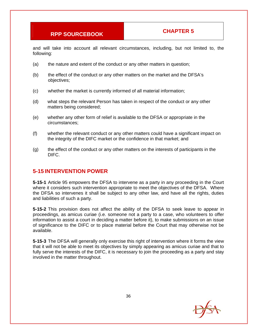and will take into account all relevant circumstances, including, but not limited to, the following:

- (a) the nature and extent of the conduct or any other matters in question;
- (b) the effect of the conduct or any other matters on the market and the DFSA's objectives;
- (c) whether the market is currently informed of all material information;
- (d) what steps the relevant Person has taken in respect of the conduct or any other matters being considered;
- (e) whether any other form of relief is available to the DFSA or appropriate in the circumstances;
- (f) whether the relevant conduct or any other matters could have a significant impact on the integrity of the DIFC market or the confidence in that market; and
- (g) the effect of the conduct or any other matters on the interests of participants in the DIFC.

#### **5-15 INTERVENTION POWER**

**5-15-1** Article 95 empowers the DFSA to intervene as a party in any proceeding in the Court where it considers such intervention appropriate to meet the objectives of the DFSA. Where the DFSA so intervenes it shall be subject to any other law, and have all the rights, duties and liabilities of such a party.

**5-15-2** This provision does not affect the ability of the DFSA to seek leave to appear in proceedings, as amicus curiae (i.e. someone not a party to a case, who volunteers to offer information to assist a court in deciding a matter before it), to make submissions on an issue of significance to the DIFC or to place material before the Court that may otherwise not be available.

**5-15-3** The DFSA will generally only exercise this right of intervention where it forms the view that it will not be able to meet its objectives by simply appearing as amicus curiae and that to fully serve the interests of the DIFC, it is necessary to join the proceeding as a party and stay involved in the matter throughout.

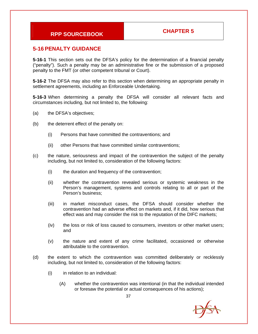### **5-16 PENALTY GUIDANCE**

**5-16-1** This section sets out the DFSA's policy for the determination of a financial penalty ("penalty"). Such a penalty may be an administrative fine or the submission of a proposed penalty to the FMT (or other competent tribunal or Court).

**5-16-2** The DFSA may also refer to this section when determining an appropriate penalty in settlement agreements, including an Enforceable Undertaking.

**5-16-3** When determining a penalty the DFSA will consider all relevant facts and circumstances including, but not limited to, the following:

- (a) the DFSA's objectives;
- (b) the deterrent effect of the penalty on:
	- (i) Persons that have committed the contraventions; and
	- (ii) other Persons that have committed similar contraventions;
- (c) the nature, seriousness and impact of the contravention the subject of the penalty including, but not limited to, consideration of the following factors:
	- (i) the duration and frequency of the contravention;
	- (ii) whether the contravention revealed serious or systemic weakness in the Person's management, systems and controls relating to all or part of the Person's business;
	- (iii) in market misconduct cases, the DFSA should consider whether the contravention had an adverse effect on markets and, if it did, how serious that effect was and may consider the risk to the reputation of the DIFC markets;
	- (iv) the loss or risk of loss caused to consumers, investors or other market users; and
	- (v) the nature and extent of any crime facilitated, occasioned or otherwise attributable to the contravention.
- (d) the extent to which the contravention was committed deliberately or recklessly including, but not limited to, consideration of the following factors:
	- (i) in relation to an individual:
		- (A) whether the contravention was intentional (in that the individual intended or foresaw the potential or actual consequences of his actions);

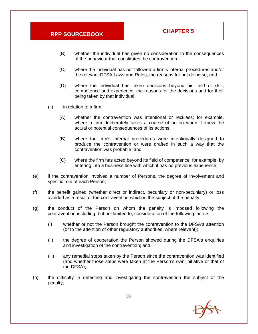- (B) whether the individual has given no consideration to the consequences of the behaviour that constitutes the contravention.
- (C) where the individual has not followed a firm's internal procedures and/or the relevant DFSA Laws and Rules, the reasons for not doing so; and
- (D) where the individual has taken decisions beyond his field of skill, competence and experience, the reasons for the decisions and for their being taken by that individual;
- (ii) in relation to a firm:
	- (A) whether the contravention was intentional or reckless; for example, where a firm deliberately takes a course of action when it knew the actual or potential consequences of its actions;
	- (B) where the firm's internal procedures were intentionally designed to produce the contravention or were drafted in such a way that the contravention was probable; and
	- (C) where the firm has acted beyond its field of competence; for example, by entering into a business line with which it has no previous experience;
- (e) if the contravention involved a number of Persons, the degree of involvement and specific role of each Person;
- (f) the benefit gained (whether direct or indirect, pecuniary or non-pecuniary) or loss avoided as a result of the contravention which is the subject of the penalty;
- (g) the conduct of the Person on whom the penalty is imposed following the contravention including, but not limited to, consideration of the following factors:
	- (i) whether or not the Person brought the contravention to the DFSA's attention (or to the attention of other regulatory authorities, where relevant);
	- (ii) the degree of cooperation the Person showed during the DFSA's enquiries and investigation of the contravention; and
	- (iii) any remedial steps taken by the Person since the contravention was identified (and whether those steps were taken at the Person's own initiative or that of the DFSA);
- (h) the difficulty in detecting and investigating the contravention the subject of the penalty;

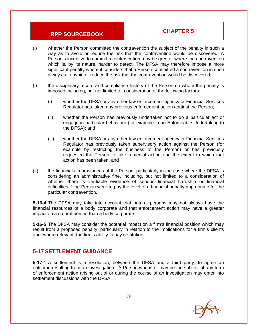- (i) whether the Person committed the contravention the subject of the penalty in such a way as to avoid or reduce the risk that the contravention would be discovered. A Person's incentive to commit a contravention may be greater where the contravention which is, by its nature, harder to detect. The DFSA may therefore impose a more significant penalty where it considers that a Person committed a contravention in such a way as to avoid or reduce the risk that the contravention would be discovered;
- (j) the disciplinary record and compliance history of the Person on whom the penalty is imposed including, but not limited to, consideration of the following factors:
	- (i) whether the DFSA or any other law enforcement agency or Financial Services Regulator has taken any previous enforcement action against the Person;
	- (ii) whether the Person has previously undertaken not to do a particular act or engage in particular behaviour (for example in an Enforceable Undertaking to the DFSA); and
	- (iii) whether the DFSA or any other law enforcement agency or Financial Services Regulator has previously taken supervisory action against the Person (for example by restricting the business of the Person) or has previously requested the Person to take remedial action and the extent to which that action has been taken; and
- (k) the financial circumstances of the Person, particularly in the case where the DFSA is considering an administrative fine, including, but not limited to a consideration of whether there is verifiable evidence of serious financial hardship or financial difficulties if the Person were to pay the level of a financial penalty appropriate for the particular contravention.

**5-16-4** The DFSA may take into account that natural persons may not always have the financial resources of a body corporate and that enforcement action may have a greater impact on a natural person than a body corporate.

**5-16-5** The DFSA may consider the potential impact on a firm's financial position which may result from a proposed penalty, particularly in relation to the implications for a firm's clients and, where relevant, the firm's ability to pay restitution.

## **5-17 SETTLEMENT GUIDANCE**

**5-17-1** A settlement is a resolution, between the DFSA and a third party, to agree an outcome resulting from an investigation. A Person who is or may be the subject of any form of enforcement action arising out of or during the course of an investigation may enter into settlement discussions with the DFSA.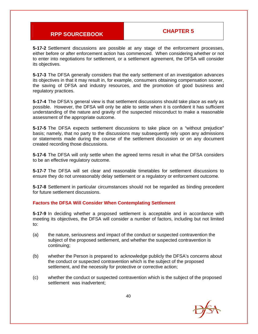**5-17-2** Settlement discussions are possible at any stage of the enforcement processes, either before or after enforcement action has commenced. When considering whether or not to enter into negotiations for settlement, or a settlement agreement, the DFSA will consider its objectives.

**5-17-3** The DFSA generally considers that the early settlement of an investigation advances its objectives in that it may result in, for example, consumers obtaining compensation sooner, the saving of DFSA and industry resources, and the promotion of good business and regulatory practices.

**5-17-4** The DFSA's general view is that settlement discussions should take place as early as possible. However, the DFSA will only be able to settle when it is confident it has sufficient understanding of the nature and gravity of the suspected misconduct to make a reasonable assessment of the appropriate outcome.

**5-17-5** The DFSA expects settlement discussions to take place on a "without prejudice" basis; namely, that no party to the discussions may subsequently rely upon any admissions or statements made during the course of the settlement discussion or on any document created recording those discussions.

**5-17-6** The DFSA will only settle when the agreed terms result in what the DFSA considers to be an effective regulatory outcome.

**5-17-7** The DFSA will set clear and reasonable timetables for settlement discussions to ensure they do not unreasonably delay settlement or a regulatory or enforcement outcome.

**5-17-8** Settlement in particular circumstances should not be regarded as binding precedent for future settlement discussions.

#### **Factors the DFSA Will Consider When Contemplating Settlement**

**5-17-9** In deciding whether a proposed settlement is acceptable and in accordance with meeting its objectives, the DFSA will consider a number of factors, including but not limited to:

- (a) the nature, seriousness and impact of the conduct or suspected contravention the subject of the proposed settlement, and whether the suspected contravention is continuing;
- (b) whether the Person is prepared to acknowledge publicly the DFSA's concerns about the conduct or suspected contravention which is the subject of the proposed settlement, and the necessity for protective or corrective action;
- (c) whether the conduct or suspected contravention which is the subject of the proposed settlement was inadvertent;

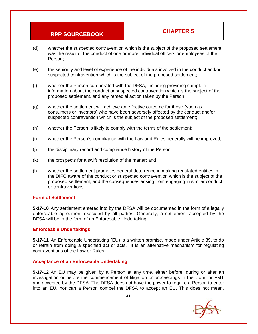- (d) whether the suspected contravention which is the subject of the proposed settlement was the result of the conduct of one or more individual officers or employees of the Person;
- (e) the seniority and level of experience of the individuals involved in the conduct and/or suspected contravention which is the subject of the proposed settlement;
- (f) whether the Person co-operated with the DFSA, including providing complete information about the conduct or suspected contravention which is the subject of the proposed settlement, and any remedial action taken by the Person;
- (g) whether the settlement will achieve an effective outcome for those (such as consumers or investors) who have been adversely affected by the conduct and/or suspected contravention which is the subject of the proposed settlement;
- (h) whether the Person is likely to comply with the terms of the settlement;
- (i) whether the Person's compliance with the Law and Rules generally will be improved;
- (j) the disciplinary record and compliance history of the Person;
- (k) the prospects for a swift resolution of the matter; and
- (l) whether the settlement promotes general deterrence in making regulated entities in the DIFC aware of the conduct or suspected contravention which is the subject of the proposed settlement, and the consequences arising from engaging in similar conduct or contraventions.

#### **Form of Settlement**

**5-17-10** Any settlement entered into by the DFSA will be documented in the form of a legally enforceable agreement executed by all parties. Generally, a settlement accepted by the DFSA will be in the form of an Enforceable Undertaking.

#### **Enforceable Undertakings**

**5-17-11** An Enforceable Undertaking (EU) is a written promise, made under Article 89, to do or refrain from doing a specified act or acts. It is an alternative mechanism for regulating contraventions of the Law or Rules.

#### **Acceptance of an Enforceable Undertaking**

**5-17-12** An EU may be given by a Person at any time, either before, during or after an investigation or before the commencement of litigation or proceedings in the Court or FMT and accepted by the DFSA. The DFSA does not have the power to require a Person to enter into an EU, nor can a Person compel the DFSA to accept an EU. This does not mean,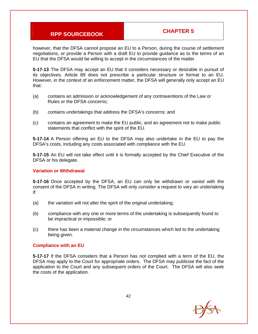however, that the DFSA cannot propose an EU to a Person, during the course of settlement negotiations, or provide a Person with a draft EU to provide guidance as to the terms of an EU that the DFSA would be willing to accept in the circumstances of the matter.

**5-17-13** The DFSA may accept an EU that it considers necessary or desirable in pursuit of its objectives. Article 89 does not prescribe a particular structure or format to an EU. However, in the context of an enforcement matter, the DFSA will generally only accept an EU that:

- (a) contains an admission or acknowledgement of any contraventions of the Law or Rules or the DFSA concerns;
- (b) contains undertakings that address the DFSA's concerns; and
- (c) contains an agreement to make the EU public, and an agreement not to make public statements that conflict with the spirit of the EU.

**5-17-14** A Person offering an EU to the DFSA may also undertake in the EU to pay the DFSA's costs, including any costs associated with compliance with the EU.

**5-17-15** An EU will not take effect until it is formally accepted by the Chief Executive of the DFSA or his delegate.

#### **Variation or Withdrawal**

**5-17-16** Once accepted by the DFSA, an EU can only be withdrawn or varied with the consent of the DFSA in writing. The DFSA will only consider a request to vary an undertaking if:

- (a) the variation will not alter the spirit of the original undertaking;
- (b) compliance with any one or more terms of the undertaking is subsequently found to be impractical or impossible; or
- (c) there has been a material change in the circumstances which led to the undertaking being given.

#### **Compliance with an EU**

**5-17-17** If the DFSA considers that a Person has not complied with a term of the EU, the DFSA may apply to the Court for appropriate orders. The DFSA may publicise the fact of the application to the Court and any subsequent orders of the Court. The DFSA will also seek the costs of the application.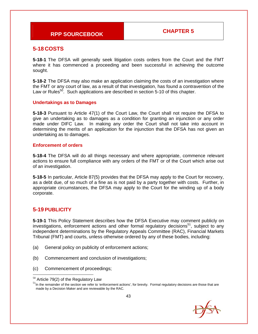### **5-18 COSTS**

**5-18-1** The DFSA will generally seek litigation costs orders from the Court and the FMT where it has commenced a proceeding and been successful in achieving the outcome sought.

**5-18-2** The DFSA may also make an application claiming the costs of an investigation where the FMT or any court of law, as a result of that investigation, has found a contravention of the Law or Rules<sup>50</sup>. Such applications are described in section 5-10 of this chapter.

#### **Undertakings as to Damages**

**5-18-3** Pursuant to Article 47(1) of the Court Law, the Court shall not require the DFSA to give an undertaking as to damages as a condition for granting an injunction or any order made under DIFC Law. In making any order the Court shall not take into account in determining the merits of an application for the injunction that the DFSA has not given an undertaking as to damages.

#### **Enforcement of orders**

**5-18-4** The DFSA will do all things necessary and where appropriate, commence relevant actions to ensure full compliance with any orders of the FMT or of the Court which arise out of an investigation.

**5-18-5** In particular, Article 87(5) provides that the DFSA may apply to the Court for recovery, as a debt due, of so much of a fine as is not paid by a party together with costs. Further, in appropriate circumstances, the DFSA may apply to the Court for the winding up of a body corporate.

### **5-19 PUBLICITY**

**5-19-1** This Policy Statement describes how the DFSA Executive may comment publicly on investigations, enforcement actions and other formal regulatory decisions<sup>51</sup>, subject to any independent determinations by the Regulatory Appeals Committee (RAC), Financial Markets Tribunal (FMT) and courts, unless otherwise ordered by any of these bodies, including:

- (a) General policy on publicity of enforcement actions;
- (b) Commencement and conclusion of investigations;
- (c) Commencement of proceedings;

 $51$ In the remainder of the section we refer to 'enforcement actions', for brevity. Formal regulatory decisions are those that are made by a Decision Maker and are reviewable by the RAC.



  $50$  Article 79(2) of the Regulatory Law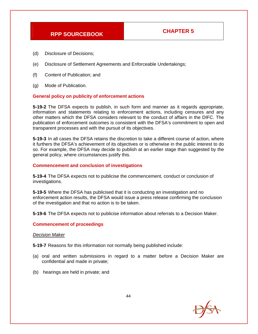- (d) Disclosure of Decisions;
- (e) Disclosure of Settlement Agreements and Enforceable Undertakings;
- (f) Content of Publication; and
- (g) Mode of Publication.

#### **General policy on publicity of enforcement actions**

**5-19-2** The DFSA expects to publish, in such form and manner as it regards appropriate, information and statements relating to enforcement actions, including censures and any other matters which the DFSA considers relevant to the conduct of affairs in the DIFC. The publication of enforcement outcomes is consistent with the DFSA's commitment to open and transparent processes and with the pursuit of its objectives.

**5-19-3** In all cases the DFSA retains the discretion to take a different course of action, where it furthers the DFSA's achievement of its objectives or is otherwise in the public interest to do so. For example, the DFSA may decide to publish at an earlier stage than suggested by the general policy, where circumstances justify this.

#### **Commencement and conclusion of investigations**

**5-19-4** The DFSA expects not to publicise the commencement, conduct or conclusion of investigations.

**5-19-5** Where the DFSA has publicised that it is conducting an investigation and no enforcement action results, the DFSA would issue a press release confirming the conclusion of the investigation and that no action is to be taken.

**5-19-6** The DFSA expects not to publicise information about referrals to a Decision Maker.

#### **Commencement of proceedings**

#### *Decision Maker*

**5-19-7** Reasons for this information not normally being published include:

- (a) oral and written submissions in regard to a matter before a Decision Maker are confidential and made in private;
- (b) hearings are held in private; and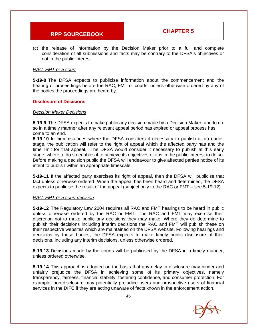(c) the release of information by the Decision Maker prior to a full and complete consideration of all submissions and facts may be contrary to the DFSA's objectives or not in the public interest.

#### *RAC, FMT or a court*

**5-19-8** The DFSA expects to publicise information about the commencement and the hearing of proceedings before the RAC, FMT or courts, unless otherwise ordered by any of the bodies the proceedings are heard by.

#### **Disclosure of Decisions**

#### *Decision Maker Decisions*

**5-19-9** The DFSA expects to make public any decision made by a Decision Maker, and to do so in a timely manner after any relevant appeal period has expired or appeal process has come to an end.

**5-19-10** In circumstances where the DFSA considers it necessary to publish at an earlier stage, the publication will refer to the right of appeal which the affected party has and the time limit for that appeal. The DFSA would consider it necessary to publish at this early stage, where to do so enables it to achieve its objectives or it is in the public interest to do so. Before making a decision public the DFSA will endeavour to give affected parties notice of its intent to publish within an appropriate timescale.

**5-19-11** If the affected party exercises its right of appeal, then the DFSA will publicise that fact unless otherwise ordered. When the appeal has been heard and determined, the DFSA expects to publicise the result of the appeal (subject only to the RAC or FMT – see 5-19-12).

#### *RAC, FMT or a court decision*

**5-19-12** The Regulatory Law 2004 requires all RAC and FMT hearings to be heard in public unless otherwise ordered by the RAC or FMT. The RAC and FMT may exercise their discretion not to make public any decisions they may make. Where they do determine to publish their decisions including interim decisions the RAC and FMT will publish these on their respective websites which are maintained on the DFSA website. Following hearings and decisions by these bodies, the DFSA expects to make timely public disclosure of their decisions, including any interim decisions, unless otherwise ordered.

**5-19-13** Decisions made by the courts will be publicised by the DFSA in a timely manner, unless ordered otherwise.

**5-19-14** This approach is adopted on the basis that any delay in disclosure may hinder and unfairly prejudice the DFSA in achieving some of its primary objectives, namely transparency, fairness, financial stability, fostering confidence, and consumer protection. For example, non-disclosure may potentially prejudice users and prospective users of financial services in the DIFC if they are acting unaware of facts known in the enforcement action.

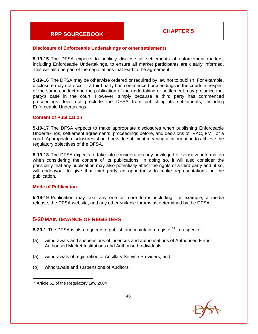#### **Disclosure of Enforceable Undertakings or other settlements**

**5-19-15** The DFSA expects to publicly disclose all settlements of enforcement matters, including Enforceable Undertakings, to ensure all market participants are clearly informed. This will also be part of the negotiations that lead to the agreement.

**5-19-16** The DFSA may be otherwise ordered or required by law not to publish. For example, disclosure may not occur if a third party has commenced proceedings in the courts in respect of the same conduct and the publication of the undertaking or settlement may prejudice that party's case in the court. However, simply because a third party has commenced proceedings does not preclude the DFSA from publishing its settlements, including Enforceable Undertakings.

#### **Content of Publication**

**5-19-17** The DFSA expects to make appropriate disclosures when publishing Enforceable Undertakings, settlement agreements, proceedings before, and decisions of, RAC, FMT or a court. Appropriate disclosures should provide sufficient meaningful information to achieve the regulatory objectives of the DFSA.

**5-19-18** The DFSA expects to take into consideration any privileged or sensitive information when considering the content of its publications. In doing so, it will also consider the possibility that any publication may also potentially affect the rights of a third party and, if so, will endeavour to give that third party an opportunity to make representations on the publication.

#### **Mode of Publication**

**5-19-19** Publication may take any one or more forms including, for example, a media release, the DFSA website, and any other suitable forums as determined by the DFSA.

#### **5-20 MAINTENANCE OF REGISTERS**

**5-20-1** The DFSA is also required to publish and maintain a register<sup>52</sup> in respect of:

- (a) withdrawals and suspensions of Licences and authorisations of Authorised Firms, Authorised Market Institutions and Authorised Individuals;
- (a) withdrawals of registration of Ancillary Service Providers; and
- (b) withdrawals and suspensions of Auditors.



  $52$  Article 62 of the Regulatory Law 2004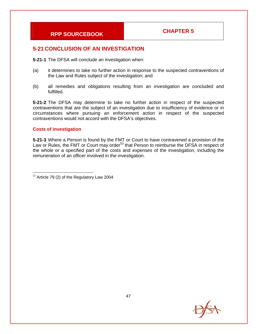## **5-21 CONCLUSION OF AN INVESTIGATION**

**5-21-1** The DFSA will conclude an investigation when:

- (a) it determines to take no further action in response to the suspected contraventions of the Law and Rules subject of the investigation; and
- (b) all remedies and obligations resulting from an investigation are concluded and fulfilled.

**5-21-2** The DFSA may determine to take no further action in respect of the suspected contraventions that are the subject of an investigation due to insufficiency of evidence or in circumstances where pursuing an enforcement action in respect of the suspected contraventions would not accord with the DFSA's objectives.

#### **Costs of investigation**

**5-21-3** Where a Person is found by the FMT or Court to have contravened a provision of the Law or Rules, the FMT or Court may order<sup>53</sup> that Person to reimburse the DFSA in respect of the whole or a specified part of the costs and expenses of the investigation, including the remuneration of an officer involved in the investigation.



  $53$  Article 79 (2) of the Regulatory Law 2004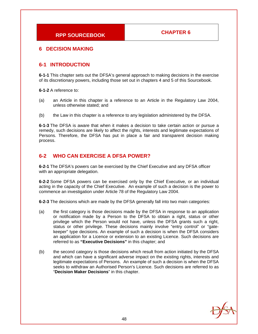#### **6 DECISION MAKING**

#### **6-1 INTRODUCTION**

**6-1-1** This chapter sets out the DFSA's general approach to making decisions in the exercise of its discretionary powers, including those set out in chapters 4 and 5 of this Sourcebook.

**6-1-2** A reference to:

- (a) an Article in this chapter is a reference to an Article in the Regulatory Law 2004, unless otherwise stated; and
- (b) the Law in this chapter is a reference to any legislation administered by the DFSA.

**6-1-3** The DFSA is aware that when it makes a decision to take certain action or pursue a remedy, such decisions are likely to affect the rights, interests and legitimate expectations of Persons. Therefore, the DFSA has put in place a fair and transparent decision making process.

#### **6-2 WHO CAN EXERCISE A DFSA POWER?**

**6-2-1** The DFSA's powers can be exercised by the Chief Executive and any DFSA officer with an appropriate delegation.

**6-2-2** Some DFSA powers can be exercised only by the Chief Executive, or an individual acting in the capacity of the Chief Executive. An example of such a decision is the power to commence an investigation under Article 78 of the Regulatory Law 2004.

**6-2-3** The decisions which are made by the DFSA generally fall into two main categories:

- (a) the first category is those decisions made by the DFSA in response to an application or notification made by a Person to the DFSA to obtain a right, status or other privilege which the Person would not have, unless the DFSA grants such a right, status or other privilege. These decisions mainly involve "entry control" or "gatekeeper" type decisions. An example of such a decision is when the DFSA considers an application for a Licence or extension to an existing Licence. Such decisions are referred to as **"Executive Decisions"** in this chapter; and
- (b) the second category is those decisions which result from action initiated by the DFSA and which can have a significant adverse impact on the existing rights, interests and legitimate expectations of Persons. An example of such a decision is when the DFSA seeks to withdraw an Authorised Person's Licence. Such decisions are referred to as "**Decision Maker Decisions**" in this chapter.

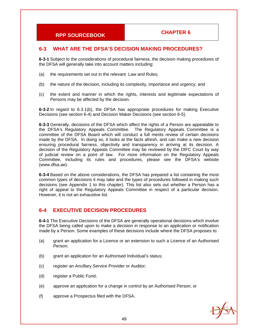### **6-3 WHAT ARE THE DFSA'S DECISION MAKING PROCEDURES?**

**6-3-1** Subject to the considerations of procedural fairness, the decision making procedures of the DFSA will generally take into account matters including:

- (a) the requirements set out in the relevant Law and Rules;
- (b) the nature of the decision, including its complexity, importance and urgency; and
- (c) the extent and manner in which the rights, interests and legitimate expectations of Persons may be affected by the decision.

**6-3-2** In regard to 6.3.1(b), the DFSA has appropriate procedures for making Executive Decisions (see section 6-4) and Decision Maker Decisions (see section 6-5).

**6-3-3** Generally, decisions of the DFSA which affect the rights of a Person are appealable to the DFSA's Regulatory Appeals Committee. The Regulatory Appeals Committee is a committee of the DFSA Board which will conduct a full merits review of certain decisions made by the DFSA. In doing so, it looks at the facts afresh, and can make a new decision ensuring procedural fairness, objectivity and transparency in arriving at its decision. A decision of the Regulatory Appeals Committee may be reviewed by the DIFC Court by way of judicial review on a point of law. For more information on the Regulatory Appeals Committee, including its rules and procedures, please see the DFSA's website (www.dfsa.ae).

**6-3-4** Based on the above considerations, the DFSA has prepared a list containing the most common types of decisions it may take and the types of procedures followed in making such decisions (see Appendix 1 to this chapter). This list also sets out whether a Person has a right of appeal to the Regulatory Appeals Committee in respect of a particular decision. However, it is not an exhaustive list.

### **6-4 EXECUTIVE DECISION PROCEDURES**

**6-4-1** The Executive Decisions of the DFSA are generally operational decisions which involve the DFSA being called upon to make a decision in response to an application or notification made by a Person. Some examples of these decisions include where the DFSA proposes to:

- (a) grant an application for a Licence or an extension to such a Licence of an Authorised Person;
- (b) grant an application for an Authorised Individual's status;
- (c) register an Ancillary Service Provider or Auditor;
- (d) register a Public Fund;
- (e) approve an application for a change in control by an Authorised Person; or
- (f) approve a Prospectus filed with the DFSA.

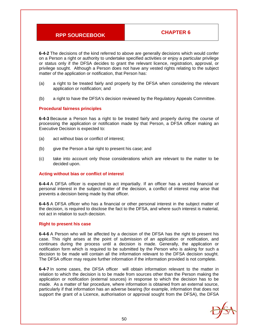**6-4-2** The decisions of the kind referred to above are generally decisions which would confer on a Person a right or authority to undertake specified activities or enjoy a particular privilege or status only if the DFSA decides to grant the relevant licence, registration, approval, or privilege sought. Although a Person does not have any vested rights relating to the subject matter of the application or notification, that Person has:

- (a) a right to be treated fairly and properly by the DFSA when considering the relevant application or notification; and
- (b) a right to have the DFSA's decision reviewed by the Regulatory Appeals Committee.

#### **Procedural fairness principles**

**6-4-3** Because a Person has a right to be treated fairly and properly during the course of processing the application or notification made by that Person, a DFSA officer making an Executive Decision is expected to:

- (a) act without bias or conflict of interest;
- (b) give the Person a fair right to present his case; and
- (c) take into account only those considerations which are relevant to the matter to be decided upon.

#### **Acting without bias or conflict of interest**

**6-4-4** A DFSA officer is expected to act impartially. If an officer has a vested financial or personal interest in the subject matter of the decision, a conflict of interest may arise that prevents a decision being made by that officer.

**6-4-5** A DFSA officer who has a financial or other personal interest in the subject matter of the decision, is required to disclose the fact to the DFSA, and where such interest is material, not act in relation to such decision.

#### **Right to present his case**

**6-4-6** A Person who will be affected by a decision of the DFSA has the right to present his case. This right arises at the point of submission of an application or notification, and continues during the process until a decision is made. Generally, the application or notification form which is required to be submitted by the Person who is asking for such a decision to be made will contain all the information relevant to the DFSA decision sought. The DFSA officer may require further information if the information provided is not complete.

**6-4-7** In some cases, the DFSA officer will obtain information relevant to the matter in relation to which the decision is to be made from sources other than the Person making the application or notification (external sources) in response to which the decision has to be made. As a matter of fair procedure, where information is obtained from an external source, particularly if that information has an adverse bearing (for example, information that does not support the grant of a Licence, authorisation or approval sought from the DFSA), the DFSA

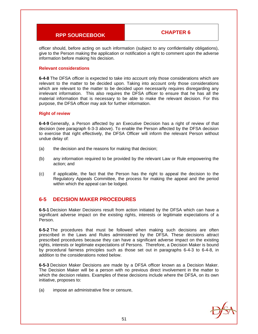officer should, before acting on such information (subject to any confidentiality obligations), give to the Person making the application or notification a right to comment upon the adverse information before making his decision.

#### **Relevant considerations**

**6-4-8** The DFSA officer is expected to take into account only those considerations which are relevant to the matter to be decided upon. Taking into account only those considerations which are relevant to the matter to be decided upon necessarily requires disregarding any irrelevant information. This also requires the DFSA officer to ensure that he has all the material information that is necessary to be able to make the relevant decision. For this purpose, the DFSA officer may ask for further information.

#### **Right of review**

**6-4-9** Generally, a Person affected by an Executive Decision has a right of review of that decision (see paragraph 6-3-3 above). To enable the Person affected by the DFSA decision to exercise that right effectively, the DFSA Officer will inform the relevant Person without undue delay of:

- (a) the decision and the reasons for making that decision;
- (b) any information required to be provided by the relevant Law or Rule empowering the action; and
- (c) if applicable, the fact that the Person has the right to appeal the decision to the Regulatory Appeals Committee, the process for making the appeal and the period within which the appeal can be lodged.

#### **6-5 DECISION MAKER PROCEDURES**

**6-5-1** Decision Maker Decisions result from action initiated by the DFSA which can have a significant adverse impact on the existing rights, interests or legitimate expectations of a Person.

**6-5-2** The procedures that must be followed when making such decisions are often prescribed in the Laws and Rules administered by the DFSA. These decisions attract prescribed procedures because they can have a significant adverse impact on the existing rights, interests or legitimate expectations of Persons. Therefore, a Decision Maker is bound by procedural fairness principles such as those set out in paragraphs 6-4-3 to 6-4-8, in addition to the considerations noted below.

**6-5-3** Decision Maker Decisions are made by a DFSA officer known as a Decision Maker. The Decision Maker will be a person with no previous direct involvement in the matter to which the decision relates. Examples of these decisions include where the DFSA, on its own initiative, proposes to:

(a) impose an administrative fine or censure,

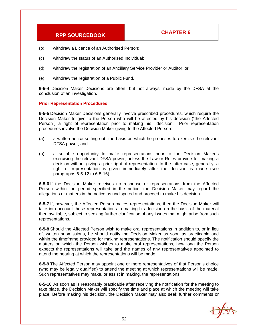- (b) withdraw a Licence of an Authorised Person;
- (c) withdraw the status of an Authorised Individual;
- (d) withdraw the registration of an Ancillary Service Provider or Auditor; or
- (e) withdraw the registration of a Public Fund.

**6-5-4** Decision Maker Decisions are often, but not always, made by the DFSA at the conclusion of an investigation.

#### **Prior Representation Procedures**

**6-5-5** Decision Maker Decisions generally involve prescribed procedures, which require the Decision Maker to give to the Person who will be affected by his decision ("the Affected Person") a right of representation prior to making his decision. Prior representation procedures involve the Decision Maker giving to the Affected Person:

- (a) a written notice setting out the basis on which he proposes to exercise the relevant DFSA power; and
- (b) a suitable opportunity to make representations prior to the Decision Maker's exercising the relevant DFSA power, unless the Law or Rules provide for making a decision without giving a prior right of representation. In the latter case, generally, a right of representation is given immediately after the decision is made (see paragraphs 6-5-12 to 6-5-16).

**6-5-6** If the Decision Maker receives no response or representations from the Affected Person within the period specified in the notice, the Decision Maker may regard the allegations or matters in the notice as undisputed and proceed to make his decision.

**6-5-7** If, however, the Affected Person makes representations, then the Decision Maker will take into account those representations in making his decision on the basis of the material then available, subject to seeking further clarification of any issues that might arise from such representations.

**6-5-8** Should the Affected Person wish to make oral representations in addition to, or in lieu of, written submissions, he should notify the Decision Maker as soon as practicable and within the timeframe provided for making representations. The notification should specify the matters on which the Person wishes to make oral representations, how long the Person expects the representations will take and the names of any representatives appointed to attend the hearing at which the representations will be made.

**6-5-9** The Affected Person may appoint one or more representatives of that Person's choice (who may be legally qualified) to attend the meeting at which representations will be made. Such representatives may make, or assist in making, the representations.

**6-5-10** As soon as is reasonably practicable after receiving the notification for the meeting to take place, the Decision Maker will specify the time and place at which the meeting will take place. Before making his decision, the Decision Maker may also seek further comments or

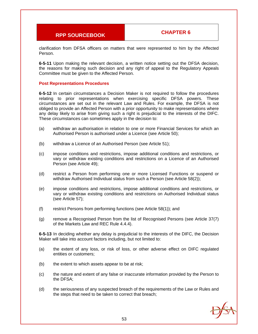clarification from DFSA officers on matters that were represented to him by the Affected Person.

**6-5-11** Upon making the relevant decision, a written notice setting out the DFSA decision, the reasons for making such decision and any right of appeal to the Regulatory Appeals Committee must be given to the Affected Person.

#### **Post Representations Procedures**

**6-5-12** In certain circumstances a Decision Maker is not required to follow the procedures relating to prior representations when exercising specific DFSA powers. These circumstances are set out in the relevant Law and Rules. For example, the DFSA is not obliged to provide an Affected Person with a prior opportunity to make representations where any delay likely to arise from giving such a right is prejudicial to the interests of the DIFC. These circumstances can sometimes apply in the decision to:

- (a) withdraw an authorisation in relation to one or more Financial Services for which an Authorised Person is authorised under a Licence (see Article 50);
- (b) withdraw a Licence of an Authorised Person (see Article 51);
- (c) impose conditions and restrictions, impose additional conditions and restrictions, or vary or withdraw existing conditions and restrictions on a Licence of an Authorised Person (see Article 49);
- (d) restrict a Person from performing one or more Licensed Functions or suspend or withdraw Authorised Individual status from such a Person (see Article 58(2));
- (e) impose conditions and restrictions, impose additional conditions and restrictions, or vary or withdraw existing conditions and restrictions on Authorised Individual status (see Article 57);
- (f) restrict Persons from performing functions (see Article 58(1)); and
- (g) remove a Recognised Person from the list of Recognised Persons (see Article 37(7) of the Markets Law and REC Rule 4.4.4).

**6-5-13** In deciding whether any delay is prejudicial to the interests of the DIFC, the Decision Maker will take into account factors including, but not limited to:

- (a) the extent of any loss, or risk of loss, or other adverse effect on DIFC regulated entities or customers;
- (b) the extent to which assets appear to be at risk;
- (c) the nature and extent of any false or inaccurate information provided by the Person to the DFSA;
- (d) the seriousness of any suspected breach of the requirements of the Law or Rules and the steps that need to be taken to correct that breach;

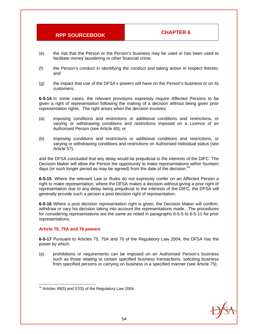- (e) the risk that the Person or the Person's business may be used or has been used to facilitate money laundering or other financial crime;
- (f) the Person's conduct in identifying the conduct and taking action in respect thereto; and
- (g) the impact that use of the DFSA's powers will have on the Person's business or on its customers.

**6-5-14** In some cases, the relevant provisions expressly require Affected Persons to be given a right of representation following the making of a decision without being given prior representation rights. The right arises when the decision involves:

- (a) imposing conditions and restrictions or additional conditions and restrictions, or varying or withdrawing conditions and restrictions imposed on a Licence of an Authorised Person (see Article 49); or
- (b) imposing conditions and restrictions or additional conditions and restrictions, or varying or withdrawing conditions and restrictions on Authorised Individual status (see Article 57),

and the DFSA concluded that any delay would be prejudicial to the interests of the DIFC. The Decision Maker will allow the Person the opportunity to make representations within fourteen days (or such longer period as may be agreed) from the date of the decision. $54$ 

**6-5-15** Where the relevant Law or Rules do not expressly confer on an Affected Person a right to make representation, where the DFSA makes a decision without giving a prior right of representation due to any delay being prejudicial to the interests of the DIFC, the DFSA will generally provide such a person a post decision right of representation.

**6-5-16** Where a post decision representation right is given, the Decision Maker will confirm, withdraw or vary his decision taking into account the representations made. The procedures for considering representations are the same as noted in paragraphs 6-5-5 to 6-5-11 for prior representations.

#### **Article 75, 75A and 76 powers**

**6-5-17** Pursuant to Articles 75, 75A and 76 of the Regulatory Law 2004, the DFSA has the power by which:

(a) prohibitions or requirements can be imposed on an Authorised Person's business such as those relating to certain specified business transactions, soliciting business from specified persons or carrying on business in a specified manner (see Article 75);



  $54$  Articles 49(5) and 57(5) of the Regulatory Law 2004.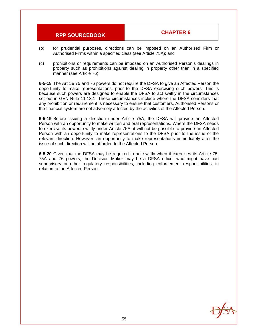- (b) for prudential purposes, directions can be imposed on an Authorised Firm or Authorised Firms within a specified class (see Article 75A); and
- (c) prohibitions or requirements can be imposed on an Authorised Person's dealings in property such as prohibitions against dealing in property other than in a specified manner (see Article 76).

**6-5-18** The Article 75 and 76 powers do not require the DFSA to give an Affected Person the opportunity to make representations, prior to the DFSA exercising such powers. This is because such powers are designed to enable the DFSA to act swiftly in the circumstances set out in GEN Rule 11.13.1. These circumstances include where the DFSA considers that any prohibition or requirement is necessary to ensure that customers, Authorised Persons or the financial system are not adversely affected by the activities of the Affected Person.

**6-5-19** Before issuing a direction under Article 75A, the DFSA will provide an Affected Person with an opportunity to make written and oral representations. Where the DFSA needs to exercise its powers swiftly under Article 75A, it will not be possible to provide an Affected Person with an opportunity to make representations to the DFSA prior to the issue of the relevant direction. However, an opportunity to make representations immediately after the issue of such direction will be afforded to the Affected Person.

**6-5-20** Given that the DFSA may be required to act swiftly when it exercises its Article 75, 75A and 76 powers, the Decision Maker may be a DFSA officer who might have had supervisory or other regulatory responsibilities, including enforcement responsibilities, in relation to the Affected Person.

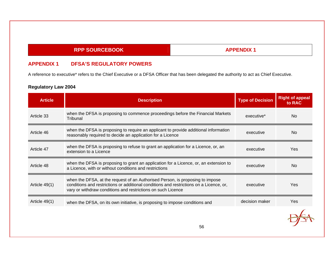### **APPENDIX 1**

### **APPENDIX 1 DFSA'S REGULATORY POWERS**

A reference to executive\* refers to the Chief Executive or a DFSA Officer that has been delegated the authority to act as Chief Executive.

| <b>Article</b> | <b>Description</b>                                                                                                                                                                                                                       | <b>Type of Decision</b> | <b>Right of appeal</b><br>to RAC |
|----------------|------------------------------------------------------------------------------------------------------------------------------------------------------------------------------------------------------------------------------------------|-------------------------|----------------------------------|
| Article 33     | when the DFSA is proposing to commence proceedings before the Financial Markets<br>Tribunal                                                                                                                                              | executive*              | <b>No</b>                        |
| Article 46     | when the DFSA is proposing to require an applicant to provide additional information<br>reasonably required to decide an application for a Licence                                                                                       | executive               | N <sub>o</sub>                   |
| Article 47     | when the DFSA is proposing to refuse to grant an application for a Licence, or, an<br>extension to a Licence                                                                                                                             | executive               | Yes                              |
| Article 48     | when the DFSA is proposing to grant an application for a Licence, or, an extension to<br>a Licence, with or without conditions and restrictions                                                                                          | executive               | <b>No</b>                        |
| Article 49(1)  | when the DFSA, at the request of an Authorised Person, is proposing to impose<br>conditions and restrictions or additional conditions and restrictions on a Licence, or,<br>vary or withdraw conditions and restrictions on such Licence | executive               | Yes                              |
| Article 49(1)  | when the DFSA, on its own initiative, is proposing to impose conditions and                                                                                                                                                              | decision maker          | Yes                              |
|                |                                                                                                                                                                                                                                          |                         |                                  |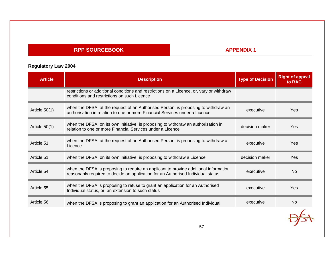## **APPENDIX 1**

| <b>Article</b> | <b>Description</b>                                                                                                                                                       | <b>Type of Decision</b> | <b>Right of appeal</b><br>to RAC |
|----------------|--------------------------------------------------------------------------------------------------------------------------------------------------------------------------|-------------------------|----------------------------------|
|                | restrictions or additional conditions and restrictions on a Licence, or, vary or withdraw<br>conditions and restrictions on such Licence                                 |                         |                                  |
| Article 50(1)  | when the DFSA, at the request of an Authorised Person, is proposing to withdraw an<br>authorisation in relation to one or more Financial Services under a Licence        | executive               | Yes                              |
| Article 50(1)  | when the DFSA, on its own initiative, is proposing to withdraw an authorisation in<br>relation to one or more Financial Services under a Licence                         | decision maker          | Yes                              |
| Article 51     | when the DFSA, at the request of an Authorised Person, is proposing to withdraw a<br>Licence                                                                             | executive               | Yes                              |
| Article 51     | when the DFSA, on its own initiative, is proposing to withdraw a Licence                                                                                                 | decision maker          | Yes                              |
| Article 54     | when the DFSA is proposing to require an applicant to provide additional information<br>reasonably required to decide an application for an Authorised Individual status | executive               | <b>No</b>                        |
| Article 55     | when the DFSA is proposing to refuse to grant an application for an Authorised<br>Individual status, or, an extension to such status                                     | executive               | Yes                              |
| Article 56     | when the DFSA is proposing to grant an application for an Authorised Individual                                                                                          | executive               | <b>No</b>                        |
|                |                                                                                                                                                                          |                         |                                  |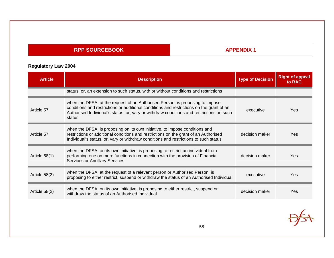## **APPENDIX 1**

| <b>Article</b>  | <b>Description</b>                                                                                                                                                                                                                                                              | <b>Type of Decision</b> | <b>Right of appeal</b><br>to RAC |
|-----------------|---------------------------------------------------------------------------------------------------------------------------------------------------------------------------------------------------------------------------------------------------------------------------------|-------------------------|----------------------------------|
|                 | status, or, an extension to such status, with or without conditions and restrictions                                                                                                                                                                                            |                         |                                  |
| Article 57      | when the DFSA, at the request of an Authorised Person, is proposing to impose<br>conditions and restrictions or additional conditions and restrictions on the grant of an<br>Authorised Individual's status, or, vary or withdraw conditions and restrictions on such<br>status | executive               | Yes                              |
| Article 57      | when the DFSA, is proposing on its own initiative, to impose conditions and<br>restrictions or additional conditions and restrictions on the grant of an Authorised<br>Individual's status, or, vary or withdraw conditions and restrictions to such status                     | decision maker          | Yes                              |
| Article $58(1)$ | when the DFSA, on its own initiative, is proposing to restrict an individual from<br>performing one on more functions in connection with the provision of Financial<br><b>Services or Ancillary Services</b>                                                                    | decision maker          | Yes                              |
| Article 58(2)   | when the DFSA, at the request of a relevant person or Authorised Person, is<br>proposing to either restrict, suspend or withdraw the status of an Authorised Individual                                                                                                         | executive               | Yes                              |
| Article 58(2)   | when the DFSA, on its own initiative, is proposing to either restrict, suspend or<br>withdraw the status of an Authorised Individual                                                                                                                                            | decision maker          | Yes                              |

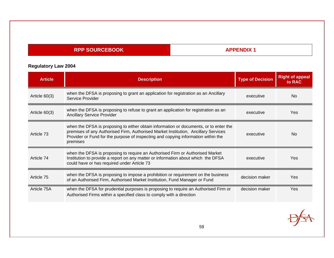## **APPENDIX 1**

| <b>Article</b>  | <b>Description</b>                                                                                                                                                                                                                                                           | <b>Type of Decision</b> | <b>Right of appeal</b><br>to RAC |
|-----------------|------------------------------------------------------------------------------------------------------------------------------------------------------------------------------------------------------------------------------------------------------------------------------|-------------------------|----------------------------------|
| Article $60(3)$ | when the DFSA is proposing to grant an application for registration as an Ancillary<br>Service Provider                                                                                                                                                                      | executive               | <b>No</b>                        |
| Article $60(3)$ | when the DFSA is proposing to refuse to grant an application for registration as an<br><b>Ancillary Service Provider</b>                                                                                                                                                     | executive               | Yes                              |
| Article 73      | when the DFSA is proposing to either obtain information or documents, or to enter the<br>premises of any Authorised Firm, Authorised Market Institution, Ancillary Services<br>Provider or Fund for the purpose of inspecting and copying information within the<br>premises | executive               | <b>No</b>                        |
| Article 74      | when the DFSA is proposing to require an Authorised Firm or Authorised Market<br>Institution to provide a report on any matter or information about which the DFSA<br>could have or has required under Article 73                                                            | executive               | Yes.                             |
| Article 75      | when the DFSA is proposing to impose a prohibition or requirement on the business<br>of an Authorised Firm, Authorised Market Institution, Fund Manager or Fund                                                                                                              | decision maker          | Yes                              |
| Article 75A     | when the DFSA for prudential purposes is proposing to require an Authorised Firm or<br>Authorised Firms within a specified class to comply with a direction                                                                                                                  | decision maker          | Yes                              |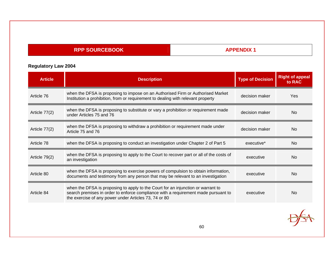## **APPENDIX 1**

| <b>Article</b> | <b>Description</b>                                                                                                                                                                                                              | <b>Type of Decision</b> | <b>Right of appeal</b><br>to RAC |
|----------------|---------------------------------------------------------------------------------------------------------------------------------------------------------------------------------------------------------------------------------|-------------------------|----------------------------------|
| Article 76     | when the DFSA is proposing to impose on an Authorised Firm or Authorised Market<br>Institution a prohibition, from or requirement to dealing with relevant property                                                             | decision maker          | Yes                              |
| Article 77(2)  | when the DFSA is proposing to substitute or vary a prohibition or requirement made<br>under Articles 75 and 76                                                                                                                  | decision maker          | <b>No</b>                        |
| Article 77(2)  | when the DFSA is proposing to withdraw a prohibition or requirement made under<br>Article 75 and 76                                                                                                                             | decision maker          | <b>No</b>                        |
| Article 78     | when the DFSA is proposing to conduct an investigation under Chapter 2 of Part 5                                                                                                                                                | executive*              | <b>No</b>                        |
| Article 79(2)  | when the DFSA is proposing to apply to the Court to recover part or all of the costs of<br>an investigation                                                                                                                     | executive               | <b>No</b>                        |
| Article 80     | when the DFSA is proposing to exercise powers of compulsion to obtain information,<br>documents and testimony from any person that may be relevant to an investigation                                                          | executive               | <b>No</b>                        |
| Article 84     | when the DFSA is proposing to apply to the Court for an injunction or warrant to<br>search premises in order to enforce compliance with a requirement made pursuant to<br>the exercise of any power under Articles 73, 74 or 80 | executive               | <b>No</b>                        |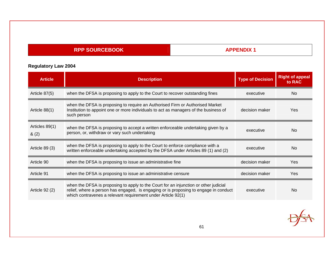## **APPENDIX 1**

| <b>Article</b>          | <b>Description</b>                                                                                                                                                                                                                           | <b>Type of Decision</b> | <b>Right of appeal</b><br>to RAC |
|-------------------------|----------------------------------------------------------------------------------------------------------------------------------------------------------------------------------------------------------------------------------------------|-------------------------|----------------------------------|
| Article 87(5)           | when the DFSA is proposing to apply to the Court to recover outstanding fines                                                                                                                                                                | executive               | <b>No</b>                        |
| Article 88(1)           | when the DFSA is proposing to require an Authorised Firm or Authorised Market<br>Institution to appoint one or more individuals to act as managers of the business of<br>such person                                                         | decision maker          | Yes                              |
| Articles 89(1)<br>& (2) | when the DFSA is proposing to accept a written enforceable undertaking given by a<br>person, or, withdraw or vary such undertaking                                                                                                           | executive               | N <sub>o</sub>                   |
| Article 89 (3)          | when the DFSA is proposing to apply to the Court to enforce compliance with a<br>written enforceable undertaking accepted by the DFSA under Articles 89 (1) and (2)                                                                          | executive               | N <sub>o</sub>                   |
| Article 90              | when the DFSA is proposing to issue an administrative fine                                                                                                                                                                                   | decision maker          | Yes                              |
| Article 91              | when the DFSA is proposing to issue an administrative censure                                                                                                                                                                                | decision maker          | Yes                              |
| Article 92 (2)          | when the DFSA is proposing to apply to the Court for an injunction or other judicial<br>relief, where a person has engaged, is engaging or is proposing to engage in conduct<br>which contravenes a relevant requirement under Article 92(1) | executive               | <b>No</b>                        |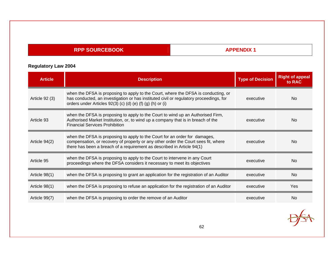## **APPENDIX 1**

| <b>Article</b> | <b>Description</b>                                                                                                                                                                                                                         | <b>Type of Decision</b> | <b>Right of appeal</b><br>to RAC |
|----------------|--------------------------------------------------------------------------------------------------------------------------------------------------------------------------------------------------------------------------------------------|-------------------------|----------------------------------|
| Article 92 (3) | when the DFSA is proposing to apply to the Court, where the DFSA is conducting, or<br>has conducted, an investigation or has instituted civil or regulatory proceedings, for<br>orders under Articles 92(3) (c) (d) (e) (f) (g) (h) or (i) | executive               | No.                              |
| Article 93     | when the DFSA is proposing to apply to the Court to wind up an Authorised Firm,<br>Authorised Market Institution, or, to wind up a company that is in breach of the<br><b>Financial Services Prohibition</b>                               | executive               | No.                              |
| Article 94(2)  | when the DFSA is proposing to apply to the Court for an order for damages,<br>compensation, or recovery of property or any other order the Court sees fit, where<br>there has been a breach of a requirement as described in Article 94(1) | executive               | No.                              |
| Article 95     | when the DFSA is proposing to apply to the Court to intervene in any Court<br>proceedings where the DFSA considers it necessary to meet its objectives                                                                                     | executive               | N <sub>o</sub>                   |
| Article 98(1)  | when the DFSA is proposing to grant an application for the registration of an Auditor                                                                                                                                                      | executive               | <b>No</b>                        |
| Article 98(1)  | when the DFSA is proposing to refuse an application for the registration of an Auditor                                                                                                                                                     | executive               | Yes                              |
| Article 99(7)  | when the DFSA is proposing to order the remove of an Auditor                                                                                                                                                                               | executive               | <b>No</b>                        |

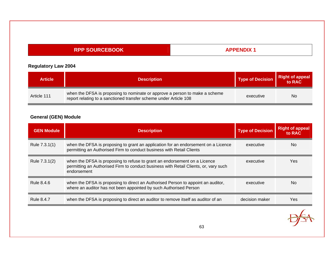## **APPENDIX 1**

## **Regulatory Law 2004**

| <b>Article</b> | <b>Description</b>                                                                                                                               | <b>Type of Decision</b> | Right of appeal |
|----------------|--------------------------------------------------------------------------------------------------------------------------------------------------|-------------------------|-----------------|
| Article 111    | when the DFSA is proposing to nominate or approve a person to make a scheme<br>report relating to a sanctioned transfer scheme under Article 108 | executive               | No              |

# **General (GEN) Module**

| <b>GEN Module</b> | <b>Description</b>                                                                                                                                                               | <b>Type of Decision</b> | <b>Right of appeal</b><br>to RAC |
|-------------------|----------------------------------------------------------------------------------------------------------------------------------------------------------------------------------|-------------------------|----------------------------------|
| Rule 7.3.1(1)     | when the DFSA is proposing to grant an application for an endorsement on a Licence<br>permitting an Authorised Firm to conduct business with Retail Clients                      | executive               | N <sub>o</sub>                   |
| Rule 7.3.1(2)     | when the DFSA is proposing to refuse to grant an endorsement on a Licence<br>permitting an Authorised Firm to conduct business with Retail Clients, or, vary such<br>endorsement | executive               | <b>Yes</b>                       |
| Rule 8.4.6        | when the DFSA is proposing to direct an Authorised Person to appoint an auditor,<br>where an auditor has not been appointed by such Authorised Person                            | executive               | N <sub>o</sub>                   |
| Rule 8.4.7        | when the DFSA is proposing to direct an auditor to remove itself as auditor of an                                                                                                | decision maker          | Yes                              |
|                   |                                                                                                                                                                                  |                         |                                  |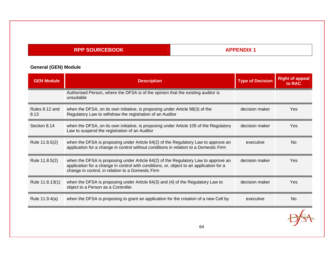## **APPENDIX 1**

# **General (GEN) Module**

| <b>GEN Module</b>      | <b>Description</b>                                                                                                                                                                                                                 | <b>Type of Decision</b> | <b>Right of appeal</b><br>to RAC |
|------------------------|------------------------------------------------------------------------------------------------------------------------------------------------------------------------------------------------------------------------------------|-------------------------|----------------------------------|
|                        | Authorised Person, where the DFSA is of the opinion that the existing auditor is<br>unsuitable                                                                                                                                     |                         |                                  |
| Rules 8.12 and<br>8.13 | when the DFSA, on its own initiative, is proposing under Article 98(3) of the<br>Regulatory Law to withdraw the registration of an Auditor                                                                                         | decision maker          | Yes                              |
| Section 8.14           | when the DFSA, on its own initiative, is proposing under Article 105 of the Regulatory<br>Law to suspend the registration of an Auditor                                                                                            | decision maker          | Yes                              |
| Rule 11.8.5(2)         | when the DFSA is proposing under Article 64(2) of the Regulatory Law to approve an<br>application for a change in control without conditions in relation to a Domestic Firm                                                        | executive               | <b>No</b>                        |
| Rule 11.8.5(2)         | when the DFSA is proposing under Article 64(2) of the Regulatory Law to approve an<br>application for a change in control with conditions, or, object to an application for a<br>change in control, in relation to a Domestic Firm | decision maker          | Yes                              |
| Rule 11.8.13(1)        | when the DFSA is proposing under Article 64(3) and (4) of the Regulatory Law to<br>object to a Person as a Controller.                                                                                                             | decision maker          | Yes                              |
| Rule 11.9.4(a)         | when the DFSA is proposing to grant an application for the creation of a new Cell by                                                                                                                                               | executive               | <b>No</b>                        |
|                        | 64                                                                                                                                                                                                                                 |                         |                                  |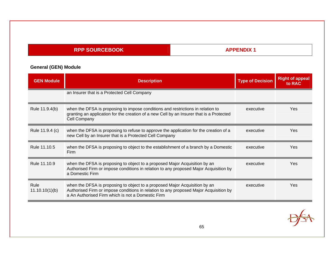## **APPENDIX 1**

# **General (GEN) Module**

| <b>GEN Module</b>      | <b>Description</b>                                                                                                                                                                                                       | <b>Type of Decision</b> | <b>Right of appeal</b><br>to RAC |
|------------------------|--------------------------------------------------------------------------------------------------------------------------------------------------------------------------------------------------------------------------|-------------------------|----------------------------------|
|                        | an Insurer that is a Protected Cell Company                                                                                                                                                                              |                         |                                  |
| Rule 11.9.4(b)         | when the DFSA is proposing to impose conditions and restrictions in relation to<br>granting an application for the creation of a new Cell by an Insurer that is a Protected<br>Cell Company                              | executive               | Yes.                             |
| Rule 11.9.4 (c)        | when the DFSA is proposing to refuse to approve the application for the creation of a<br>new Cell by an Insurer that is a Protected Cell Company                                                                         | executive               | Yes                              |
| Rule 11.10.5           | when the DFSA is proposing to object to the establishment of a branch by a Domestic<br>Firm                                                                                                                              | executive               | Yes                              |
| Rule 11.10.9           | when the DFSA is proposing to object to a proposed Major Acquisition by an<br>Authorised Firm or impose conditions in relation to any proposed Major Acquisition by<br>a Domestic Firm                                   | executive               | Yes.                             |
| Rule<br>11.10.10(1)(b) | when the DFSA is proposing to object to a proposed Major Acquisition by an<br>Authorised Firm or impose conditions in relation to any proposed Major Acquisition by<br>a An Authorised Firm which is not a Domestic Firm | executive               | Yes.                             |

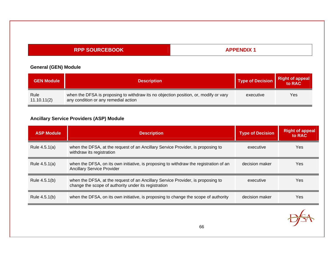## **APPENDIX 1**

## **General (GEN) Module**

| <b>GEN Module</b>   | <b>Description</b>                                                                                                           | Type of Decision | Right of appeal |
|---------------------|------------------------------------------------------------------------------------------------------------------------------|------------------|-----------------|
| Rule<br>11.10.11(2) | when the DFSA is proposing to withdraw its no objection position, or, modify or vary<br>any condition or any remedial action | executive        | Yes             |

## **Ancillary Service Providers (ASP) Module**

| <b>ASP Module</b> | <b>Description</b>                                                                                                                      | <b>Type of Decision</b> | <b>Right of appeal</b><br>to RAC |
|-------------------|-----------------------------------------------------------------------------------------------------------------------------------------|-------------------------|----------------------------------|
| Rule 4.5.1(a)     | when the DFSA, at the request of an Ancillary Service Provider, is proposing to<br>withdraw its registration                            | executive               | Yes                              |
| Rule 4.5.1(a)     | when the DFSA, on its own initiative, is proposing to withdraw the registration of an<br><b>Ancillary Service Provider</b>              | decision maker          | Yes                              |
| Rule 4.5.1(b)     | when the DFSA, at the request of an Ancillary Service Provider, is proposing to<br>change the scope of authority under its registration | executive               | Yes                              |
| Rule 4.5.1(b)     | when the DFSA, on its own initiative, is proposing to change the scope of authority                                                     | decision maker          | Yes                              |

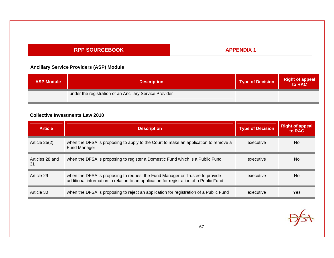## **APPENDIX 1**

## **Ancillary Service Providers (ASP) Module**

| <b>ASP Module</b> | <b>Description</b>                                      | Type of Decision | <b>Right of appeal</b><br>to RAC |
|-------------------|---------------------------------------------------------|------------------|----------------------------------|
|                   | under the registration of an Ancillary Service Provider |                  |                                  |

#### **Collective Investments Law 2010**

| <b>Article</b>        | <b>Description</b>                                                                                                                                                     | <b>Type of Decision</b> | <b>Right of appeal</b><br>to RAC |
|-----------------------|------------------------------------------------------------------------------------------------------------------------------------------------------------------------|-------------------------|----------------------------------|
| Article 25(2)         | when the DFSA is proposing to apply to the Court to make an application to remove a<br>Fund Manager                                                                    | executive               | No                               |
| Articles 28 and<br>31 | when the DFSA is proposing to register a Domestic Fund which is a Public Fund                                                                                          | executive               | <b>No</b>                        |
| Article 29            | when the DFSA is proposing to request the Fund Manager or Trustee to provide<br>additional information in relation to an application for registration of a Public Fund | executive               | <b>No</b>                        |
| Article 30            | when the DFSA is proposing to reject an application for registration of a Public Fund                                                                                  | executive               | Yes                              |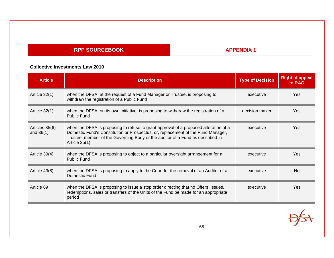## **APPENDIX 1**

#### **Collective Investments Law 2010**

| <b>Article</b>                | <b>Description</b>                                                                                                                                                                                                                                                            | <b>Type of Decision</b> | <b>Right of appeal</b><br>to RAC |
|-------------------------------|-------------------------------------------------------------------------------------------------------------------------------------------------------------------------------------------------------------------------------------------------------------------------------|-------------------------|----------------------------------|
| Article 32(1)                 | when the DFSA, at the request of a Fund Manager or Trustee, is proposing to<br>withdraw the registration of a Public Fund                                                                                                                                                     | executive               | Yes                              |
| Article $32(1)$               | when the DFSA, on its own initiative, is proposing to withdraw the registration of a<br>Public Fund                                                                                                                                                                           | decision maker          | Yes                              |
| Articles 35(6)<br>and $36(1)$ | when the DFSA is proposing to refuse to grant approval of a proposed alteration of a<br>Domestic Fund's Constitution or Prospectus, or, replacement of the Fund Manager,<br>Trustee, member of the Governing Body or the auditor of a Fund as described in<br>Article $35(1)$ | executive               | Yes                              |
| Article $39(4)$               | when the DFSA is proposing to object to a particular oversight arrangement for a<br>Public Fund                                                                                                                                                                               | executive               | Yes.                             |
| Article 43(8)                 | when the DFSA is proposing to apply to the Court for the removal of an Auditor of a<br>Domestic Fund                                                                                                                                                                          | executive               | <b>No</b>                        |
| Article 69                    | when the DFSA is proposing to issue a stop order directing that no Offers, issues,<br>redemptions, sales or transfers of the Units of the Fund be made for an appropriate<br>period                                                                                           | executive               | Yes                              |

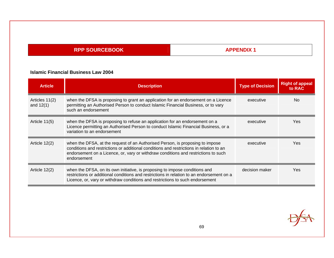## **APPENDIX 1**

#### **Islamic Financial Business Law 2004**

| <b>Article</b>                | <b>Description</b>                                                                                                                                                                                                                                                            | <b>Type of Decision</b> | <b>Right of appeal</b><br>to RAC |
|-------------------------------|-------------------------------------------------------------------------------------------------------------------------------------------------------------------------------------------------------------------------------------------------------------------------------|-------------------------|----------------------------------|
| Articles 11(2)<br>and $12(1)$ | when the DFSA is proposing to grant an application for an endorsement on a Licence<br>permitting an Authorised Person to conduct Islamic Financial Business, or to vary<br>such an endorsement                                                                                | executive               | No.                              |
| Article $11(5)$               | when the DFSA is proposing to refuse an application for an endorsement on a<br>Licence permitting an Authorised Person to conduct Islamic Financial Business, or a<br>variation to an endorsement                                                                             | executive               | Yes                              |
| Article 12(2)                 | when the DFSA, at the request of an Authorised Person, is proposing to impose<br>conditions and restrictions or additional conditions and restrictions in relation to an<br>endorsement on a Licence, or, vary or withdraw conditions and restrictions to such<br>endorsement | executive               | Yes                              |
| Article 12(2)                 | when the DFSA, on its own initiative, is proposing to impose conditions and<br>restrictions or additional conditions and restrictions in relation to an endorsement on a<br>Licence, or, vary or withdraw conditions and restrictions to such endorsement                     | decision maker          | Yes                              |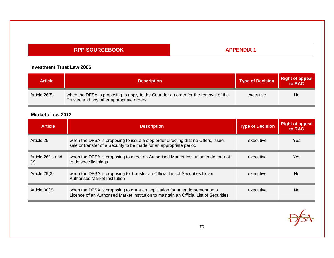## **APPENDIX 1**

#### **Investment Trust Law 2006**

| <b>Article</b> | <b>Description</b>                                                                                                               | <b>Type of Decision</b> | <b>Right of appeal</b><br>to RAC |
|----------------|----------------------------------------------------------------------------------------------------------------------------------|-------------------------|----------------------------------|
| Article 26(5)  | when the DFSA is proposing to apply to the Court for an order for the removal of the<br>Trustee and any other appropriate orders | executive               | <b>No</b>                        |

#### **Markets Law 2012**

| <b>Article</b>           | <b>Description</b>                                                                                                                                                   | <b>Type of Decision</b> | <b>Right of appeal</b><br>to RAC |
|--------------------------|----------------------------------------------------------------------------------------------------------------------------------------------------------------------|-------------------------|----------------------------------|
| Article 25               | when the DFSA is proposing to issue a stop order directing that no Offers, issue,<br>sale or transfer of a Security to be made for an appropriate period             | executive               | Yes                              |
| Article 26(1) and<br>(2) | when the DFSA is proposing to direct an Authorised Market Institution to do, or, not<br>to do specific things                                                        | executive               | Yes                              |
| Article $29(3)$          | when the DFSA is proposing to transfer an Official List of Securities for an<br>Authorised Market Institution                                                        | executive               | No.                              |
| Article $30(2)$          | when the DFSA is proposing to grant an application for an endorsement on a<br>Licence of an Authorised Market Institution to maintain an Official List of Securities | executive               | No                               |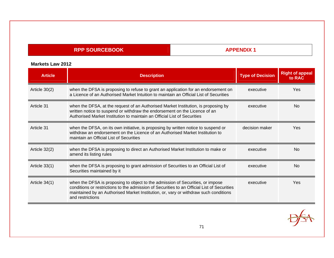## **APPENDIX 1**

#### **Markets Law 2012**

| <b>Article</b>  | <b>Description</b>                                                                                                                                                                                                                                                                        | <b>Type of Decision</b> | <b>Right of appeal</b><br>to RAC |
|-----------------|-------------------------------------------------------------------------------------------------------------------------------------------------------------------------------------------------------------------------------------------------------------------------------------------|-------------------------|----------------------------------|
| Article 30(2)   | when the DFSA is proposing to refuse to grant an application for an endorsement on<br>a Licence of an Authorised Market Intuition to maintain an Official List of Securities                                                                                                              | executive               | Yes                              |
| Article 31      | when the DFSA, at the request of an Authorised Market Institution, is proposing by<br>written notice to suspend or withdraw the endorsement on the Licence of an<br>Authorised Market Institution to maintain an Official List of Securities                                              | executive               | N <sub>0</sub>                   |
| Article 31      | when the DFSA, on its own initiative, is proposing by written notice to suspend or<br>withdraw an endorsement on the Licence of an Authorised Market Institution to<br>maintain an Official List of Securities                                                                            | decision maker          | Yes                              |
| Article $32(2)$ | when the DFSA is proposing to direct an Authorised Market Institution to make or<br>amend its listing rules                                                                                                                                                                               | executive               | N <sub>0</sub>                   |
| Article $33(1)$ | when the DFSA is proposing to grant admission of Securities to an Official List of<br>Securities maintained by it                                                                                                                                                                         | executive               | <b>No</b>                        |
| Article 34(1)   | when the DFSA is proposing to object to the admission of Securities, or impose<br>conditions or restrictions to the admission of Securities to an Official List of Securities<br>maintained by an Authorised Market Institution, or, vary or withdraw such conditions<br>and restrictions | executive               | Yes                              |

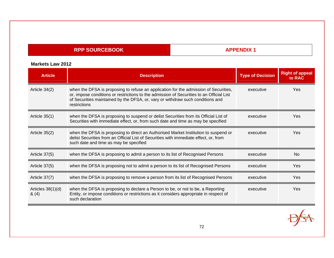## **APPENDIX 1**

#### **Markets Law 2012**

| <b>Article</b>              | <b>Description</b>                                                                                                                                                                                                                                                                 | <b>Type of Decision</b> | <b>Right of appeal</b><br>to RAC |
|-----------------------------|------------------------------------------------------------------------------------------------------------------------------------------------------------------------------------------------------------------------------------------------------------------------------------|-------------------------|----------------------------------|
| Article 34(2)               | when the DFSA is proposing to refuse an application for the admission of Securities,<br>or, impose conditions or restrictions to the admission of Securities to an Official List<br>of Securities maintained by the DFSA, or, vary or withdraw such conditions and<br>restrictions | executive               | Yes                              |
| Article $35(1)$             | when the DFSA is proposing to suspend or delist Securities from its Official List of<br>Securities with immediate effect, or, from such date and time as may be specified                                                                                                          | executive               | Yes                              |
| Article 35(2)               | when the DFSA is proposing to direct an Authorised Market Institution to suspend or<br>delist Securities from an Official List of Securities with immediate effect, or, from<br>such date and time as may be specified                                                             | executive               | Yes                              |
| Article 37(5)               | when the DFSA is proposing to admit a person to its list of Recognised Persons                                                                                                                                                                                                     | executive               | <b>No</b>                        |
| Article 37(5)               | when the DFSA is proposing not to admit a person to its list of Recognised Persons                                                                                                                                                                                                 | executive               | Yes                              |
| Article 37(7)               | when the DFSA is proposing to remove a person from its list of Recognised Persons                                                                                                                                                                                                  | executive               | Yes                              |
| Articles $38(1)(d)$<br>8(4) | when the DFSA is proposing to declare a Person to be, or not to be, a Reporting<br>Entity, or impose conditions or restrictions as it considers appropriate in respect of<br>such declaration                                                                                      | executive               | Yes                              |

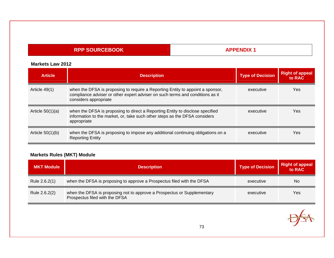### **APPENDIX 1**

#### **Markets Law 2012**

| <b>Article</b>     | <b>Description</b>                                                                                                                                                                       | <b>Type of Decision</b> | <b>Right of appeal</b><br>to RAC |
|--------------------|------------------------------------------------------------------------------------------------------------------------------------------------------------------------------------------|-------------------------|----------------------------------|
| Article 49(1)      | when the DFSA is proposing to require a Reporting Entity to appoint a sponsor,<br>compliance adviser or other expert adviser on such terms and conditions as it<br>considers appropriate | executive               | Yes                              |
| Article $50(1)(a)$ | when the DFSA is proposing to direct a Reporting Entity to disclose specified<br>information to the market, or, take such other steps as the DFSA considers<br>appropriate               | executive               | Yes                              |
| Article $50(1)(b)$ | when the DFSA is proposing to impose any additional continuing obligations on a<br><b>Reporting Entity</b>                                                                               | executive               | Yes                              |

| <b>MKT Module</b> | <b>Description</b>                                                                                        | <b>Type of Decision</b> | <b>Right of appeal</b><br>to RAC |
|-------------------|-----------------------------------------------------------------------------------------------------------|-------------------------|----------------------------------|
| Rule 2.6.2(1)     | when the DFSA is proposing to approve a Prospectus filed with the DFSA                                    | executive               | No                               |
| Rule 2.6.2(2)     | when the DFSA is proposing not to approve a Prospectus or Supplementary<br>Prospectus filed with the DFSA | executive               | Yes                              |

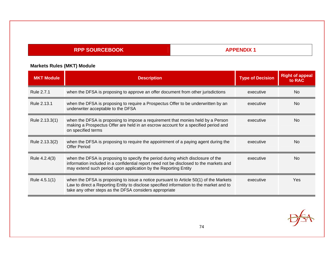### **APPENDIX 1**

| <b>MKT Module</b> | <b>Description</b>                                                                                                                                                                                                                           | <b>Type of Decision</b> | <b>Right of appeal</b><br>to RAC |
|-------------------|----------------------------------------------------------------------------------------------------------------------------------------------------------------------------------------------------------------------------------------------|-------------------------|----------------------------------|
| Rule 2.7.1        | when the DFSA is proposing to approve an offer document from other jurisdictions                                                                                                                                                             | executive               | No                               |
| Rule 2.13.1       | when the DFSA is proposing to require a Prospectus Offer to be underwritten by an<br>underwriter acceptable to the DFSA                                                                                                                      | executive               | No.                              |
| Rule 2.13.3(1)    | when the DFSA is proposing to impose a requirement that monies held by a Person<br>making a Prospectus Offer are held in an escrow account for a specified period and<br>on specified terms                                                  | executive               | N <sub>0</sub>                   |
| Rule 2.13.3(2)    | when the DFSA is proposing to require the appointment of a paying agent during the<br><b>Offer Period</b>                                                                                                                                    | executive               | N <sub>0</sub>                   |
| Rule 4.2.4(3)     | when the DFSA is proposing to specify the period during which disclosure of the<br>information included in a confidential report need not be disclosed to the markets and<br>may extend such period upon application by the Reporting Entity | executive               | <b>No</b>                        |
| Rule 4.5.1(1)     | when the DFSA is proposing to issue a notice pursuant to Article 50(1) of the Markets<br>Law to direct a Reporting Entity to disclose specified information to the market and to<br>take any other steps as the DFSA considers appropriate   | executive               | Yes                              |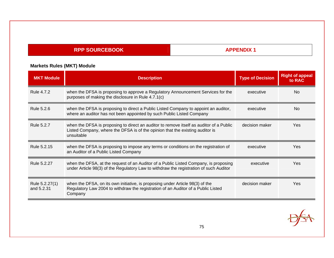### **APPENDIX 1**

| <b>MKT Module</b>            | <b>Description</b>                                                                                                                                                                     | <b>Type of Decision</b> | <b>Right of appeal</b><br>to RAC |
|------------------------------|----------------------------------------------------------------------------------------------------------------------------------------------------------------------------------------|-------------------------|----------------------------------|
| Rule 4.7.2                   | when the DFSA is proposing to approve a Regulatory Announcement Services for the<br>purposes of making the disclosure in Rule 4.7.1(c)                                                 | executive               | <b>No</b>                        |
| Rule 5.2.6                   | when the DFSA is proposing to direct a Public Listed Company to appoint an auditor,<br>where an auditor has not been appointed by such Public Listed Company                           | executive               | N <sub>0</sub>                   |
| Rule 5.2.7                   | when the DFSA is proposing to direct an auditor to remove itself as auditor of a Public<br>Listed Company, where the DFSA is of the opinion that the existing auditor is<br>unsuitable | decision maker          | Yes                              |
| Rule 5.2.15                  | when the DFSA is proposing to impose any terms or conditions on the registration of<br>an Auditor of a Public Listed Company                                                           | executive               | Yes                              |
| Rule 5.2.27                  | when the DFSA, at the request of an Auditor of a Public Listed Company, is proposing<br>under Article 98(3) of the Regulatory Law to withdraw the registration of such Auditor         | executive               | Yes                              |
| Rule 5.2.27(1)<br>and 5.2.31 | when the DFSA, on its own initiative, is proposing under Article 98(3) of the<br>Regulatory Law 2004 to withdraw the registration of an Auditor of a Public Listed<br>Company          | decision maker          | Yes                              |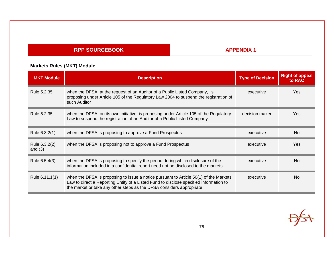### **APPENDIX 1**

| <b>MKT Module</b>          | <b>Description</b>                                                                                                                                                                                                                                      | <b>Type of Decision</b> | <b>Right of appeal</b><br>to RAC |
|----------------------------|---------------------------------------------------------------------------------------------------------------------------------------------------------------------------------------------------------------------------------------------------------|-------------------------|----------------------------------|
| Rule 5.2.35                | when the DFSA, at the request of an Auditor of a Public Listed Company, is<br>proposing under Article 105 of the Regulatory Law 2004 to suspend the registration of<br>such Auditor                                                                     | executive               | Yes                              |
| Rule 5.2.35                | when the DFSA, on its own initiative, is proposing under Article 105 of the Regulatory<br>Law to suspend the registration of an Auditor of a Public Listed Company                                                                                      | decision maker          | Yes                              |
| Rule 6.3.2(1)              | when the DFSA is proposing to approve a Fund Prospectus                                                                                                                                                                                                 | executive               | <b>No</b>                        |
| Rule 6.3.2(2)<br>and $(3)$ | when the DFSA is proposing not to approve a Fund Prospectus                                                                                                                                                                                             | executive               | Yes                              |
| Rule 6.5.4(3)              | when the DFSA is proposing to specify the period during which disclosure of the<br>information included in a confidential report need not be disclosed to the markets                                                                                   | executive               | <b>No</b>                        |
| Rule 6.11.1(1)             | when the DFSA is proposing to issue a notice pursuant to Article 50(1) of the Markets<br>Law to direct a Reporting Entity of a Listed Fund to disclose specified information to<br>the market or take any other steps as the DFSA considers appropriate | executive               | N <sub>0</sub>                   |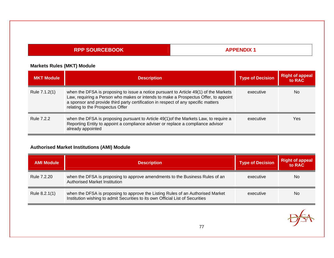### **APPENDIX 1**

# **Markets Rules (MKT) Module**

| <b>MKT Module</b> | <b>Description</b>                                                                                                                                                                                                                                                                                     | <b>Type of Decision</b> | <b>Right of appeal</b><br>to RAC |
|-------------------|--------------------------------------------------------------------------------------------------------------------------------------------------------------------------------------------------------------------------------------------------------------------------------------------------------|-------------------------|----------------------------------|
| Rule 7.1.2(1)     | when the DFSA is proposing to issue a notice pursuant to Article 49(1) of the Markets<br>Law, requiring a Person who makes or intends to make a Prospectus Offer, to appoint<br>a sponsor and provide third party certification in respect of any specific matters<br>relating to the Prospectus Offer | executive               | No.                              |
| <b>Rule 7.2.2</b> | when the DFSA is proposing pursuant to Article 49(1) of the Markets Law, to require a<br>Reporting Entity to appoint a compliance adviser or replace a compliance advisor<br>already appointed                                                                                                         | executive               | Yes                              |

# **Authorised Market Institutions (AMI) Module**

| <b>AMI Module</b> | <b>Description</b>                                                                                                                                                | <b>Type of Decision</b> | <b>Right of appeal</b><br>to RAC |
|-------------------|-------------------------------------------------------------------------------------------------------------------------------------------------------------------|-------------------------|----------------------------------|
| Rule 7.2.20       | when the DFSA is proposing to approve amendments to the Business Rules of an<br><b>Authorised Market Institution</b>                                              | executive               | <b>No</b>                        |
| Rule 8.2.1(1)     | when the DFSA is proposing to approve the Listing Rules of an Authorised Market<br>Institution wishing to admit Securities to its own Official List of Securities | executive               | <b>No</b>                        |

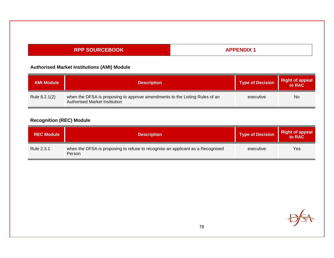### **APPENDIX 1**

#### **Authorised Market Institutions (AMI) Module**

| <b>AMI Module</b> | <b>Description</b>                                                                                           | <b>Type of Decision</b> | Right of appeal |
|-------------------|--------------------------------------------------------------------------------------------------------------|-------------------------|-----------------|
| Rule 8.2.1(2)     | when the DFSA is proposing to approve amendments to the Listing Rules of an<br>Authorised Market Institution | executive               | No              |

# **Recognition (REC) Module**

| <b>REC Module</b> | <b>Description</b>                                                                       | <b>Type of Decision</b> | <b>Right of appeal</b><br>to RAC |
|-------------------|------------------------------------------------------------------------------------------|-------------------------|----------------------------------|
| Rule 2.3.1        | when the DFSA is proposing to refuse to recognise an applicant as a Recognised<br>Person | executive               | Yes                              |